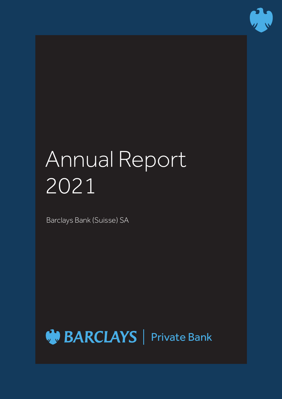

# Annual Report 2021

Barclays Bank (Suisse) SA

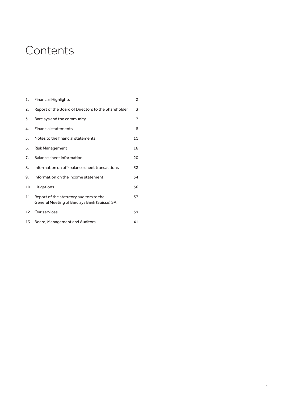## Contents

| 1.  | <b>Financial Highlights</b>                                                             | $\overline{2}$ |
|-----|-----------------------------------------------------------------------------------------|----------------|
| 2.  | Report of the Board of Directors to the Shareholder                                     | 3              |
| 3.  | Barclays and the community                                                              | 7              |
| 4.  | <b>Financial statements</b>                                                             | 8              |
| 5.  | Notes to the financial statements                                                       | 11             |
| 6.  | <b>Risk Management</b>                                                                  | 16             |
| 7.  | Balance sheet information                                                               | 20             |
| 8.  | Information on off-balance sheet transactions                                           | 32             |
| 9.  | Information on the income statement                                                     | 34             |
|     | 10. Litigations                                                                         | 36             |
| 11. | Report of the statutory auditors to the<br>General Meeting of Barclays Bank (Suisse) SA | 37             |
|     | 12. Our services                                                                        | 39             |
|     | 13. Board, Management and Auditors                                                      | 41             |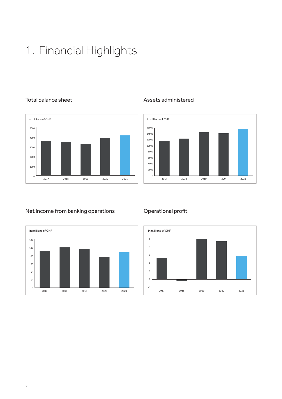## 1. Financial Highlights



## Total balance sheet

## Assets administered



## Net income from banking operations Operational profit



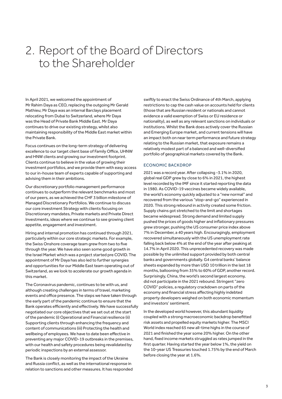## 2. Report of the Board of Directors to the Shareholder

In April 2021, we welcomed the appointment of Mr Rahim Daya as CEO, replacing the outgoing Mr Gerald Mathieu; Mr Daya was an internal Barclays placement relocating from Dubaito Switzerland, where Mr Daya was the Head of Private Bank Middle East. Mr Daya continues to drive our existing strategy, whilst also maintaining responsibility of the Middle East market within the Private Bank.

Focus continues on the long-term strategy of delivering excellence to our target client base of Family Office, UHNW and HNW clients and growing our investment footprint. Clients continue to believe in the value of growing their investment portfolios, and we provide them with easy access to our in-house team of experts capable of supporting and advising them in their ambitions.

Our discretionary portfolio management performance continues to outperform the relevant benchmarks and most of our peers, as we achieved the CHF 3 billion milestone of Managed Discretionary Portfolios. We continue to discuss our core investment Strategy with clients focusing on Discretionary mandates, Private markets and Private Direct Investments, ideas where we continue to see growing client appetite, engagement and investment.

Hiring and internal promotion has continued through 2021, particularly within our core strategic markets. For example, the Swiss Onshore coverage team grew from two to five through the year. We have also seen some good growth in the Israel Market which was a project started pre COVID. The appointment of Mr Daya has also led to further synergies and opportunities for our Middle East team operating out of Switzerland, as we look to accelerate our growth agenda in this market.

The Coronavirus pandemic, continues to be with us, and although creating challenges in terms of travel, marketing events and office presence. The steps we have taken through the early part of the pandemic continue to ensure that the Bank operates efficiently and effectively. We have successfully negotiated our core objectives that we set out at the start of the pandemic (i) Operational and Financial resilience (ii) Supporting clients through enhancing the frequency and content of communications (iii) Protecting the health and wellbeing of employees. We have to date been effective in preventing any major COVID-19 outbreaks in the premises, with our health and safety procedures being revalidated by periodic inspections by an external assessor.

The Bank is closely monitoring the impact of the Ukraine and Russia conflict, as well as the international response in relation to sanctions and other measures. It has responded

swiftly to enact the Swiss Ordinance of 4th March, applying restrictions to cap the cash value on accounts held for clients (those that are Russian resident or nationals and cannot evidence a valid exemption of Swiss or EU residence or nationality), as well as any relevant sanctions on individuals or institutions. Whilst the Bank does actively cover the Russian and Emerging Europe market, and current tensions will have an impact both on near term performance and future strategy relating to the Russian market, that exposure remains a relatively modest part of a balanced and well-diversified portfolio of geographical markets covered by the Bank.

## ECONOMIC BACKDROP

2021 was a record year. After collapsing -3.1% in 2020, global real GDP grew by close to 6% in 2021, the highest level recorded by the IMF since it started reporting the data in 1980. As COVID-19 vaccines became widely available, the world's economy quickly adjusted to a "new normal" and recovered from the various "stop-and-go" experienced in 2020. This strong rebound in activity created some friction. Supply chains got stretched to the limit and shortages became widespread. Strong demand and limited supply pushed the prices of goods higher and inflationary pressures grew stronger, pushing the US consumer price index above 7% in December, a 40 years high. Encouragingly, employment recovered simultaneously with the US unemployment rate falling back below 4% at the end of the year after peaking at 14.7% in April 2020. This unprecedented recovery was made possible by the unlimited support provided by both central banks and governments globally. G4 central banks' balance sheets expanded by more than USD 10 trillion in the last 18 months, ballooning from 35% to 60% of GDP, another record. Surprisingly, China, the world's second largest economy, did not participate in the 2021 rebound. Stringent "zero COVID" policies, a regulatory crackdown on parts of the economy and financial stress affecting highly indebted property developers weighed on both economic momentum and investors' sentiment.

In the developed world however, this abundant liquidity coupled with a strong macroeconomic backdrop benefitted risk assets and propelled equity markets higher. The MSCI World index reached 65 new all-time highs in the course of 2021 and finished the year some 20% higher. On the other hand, fixed income markets struggled as rates jumped in the first quarter. Having started the year below 1%, the yield on the 10-year US Treasuries touched 1.75% by the end of March before closing the year at 1.6%.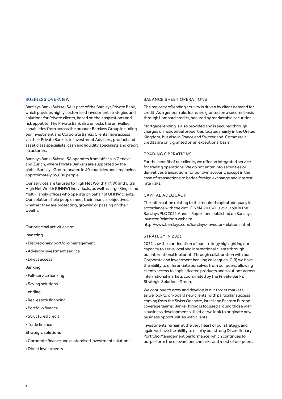#### BUSINESS OVERVIEW

Barclays Bank (Suisse) SA is part of the Barclays Private Bank, which provides highly customised investment strategies and solutions for Private clients, based on their aspirations and risk appetite. The Private Bank also unlocks the unrivalled capabilities from across the broader Barclays Group including our Investment and Corporate Banks. Clients have access via their Private Banker, to Investment Advisors, product and asset class specialists, cash and liquidity specialists and credit structurers.

Barclays Bank (Suisse) SA operates from offices in Geneva and Zurich, where Private Bankers are supported by the global Barclays Group, located in 40 countries and employing approximately 85,000 people.

Our services are tailored to High Net Worth (HNW) and Ultra High Net Worth (UHNW) individuals, as well as large Single and Multi-Family offices who operate on behalf of UHNW clients. Our solutions help people meet their financial objectives, whether they are protecting, growing or passing on their wealth.

Our principal activities are:

## Investing

- Discretionary portfolio management
- Advisory investment service
- Direct access

#### Banking

- Full-service banking
- Saving solutions
- Lending
- Real estate financing
- Portfolio finance
- Structured credit
- Trade finance

#### Strategic solutions

- Corporate finance and customised investment solutions
- Direct investments

#### BALANCE SHEET OPERATIONS

The majority of lending activity is driven by client demand for credit. As a general rule, loans are granted on a secured basis through Lombard credits, secured by marketable securities.

Mortgage lending is also provided and is secured through charges on residential properties located mainly in the United Kingdom, but also in France and Switzerland. Commercial credits are only granted on an exceptional basis.

### TRADING OPERATIONS

For the benefit of our clients, we offer an integrated service for trading operations. We do not enter into securities or derivatives transactions for our own account, except in the case of transactions to hedge foreign exchange and interest rate risks.

#### CAPITAL ADEQUACY

The information relating to the required capital adequacy in accordance with the circ.-FINMA 2016/1 is available in the Barclays PLC 2021 Annual Report and published on Barclays Investor Relation's website.

http://www.barclays.com/barclays-investor-relations.html

#### STRATEGY IN 2021

2021 saw the continuation of our strategy highlighting our capacity to serve local and international clients through our international footprint. Through collaboration with our Corporate and Investment banking colleagues (CIB) we have the ability to differentiate ourselves from our peers, allowing clients access to sophisticated products and solutions across international markets coordinated by the Private Bank's Strategic Solutions Group.

We continue to grow and develop in our target markets, as we look to on-board new clients, with particular success coming from the Swiss Onshore, Israel and Eastern Europe coverage teams. Banker hiring is focused around those with a business development skillset as we look to originate new business opportunities with clients.

Investments remain at the very heart of our strategy, and again we have the ability to display our strong Discretionary Portfolio Management performance, which continues to outperform the relevant benchmarks and most of our peers.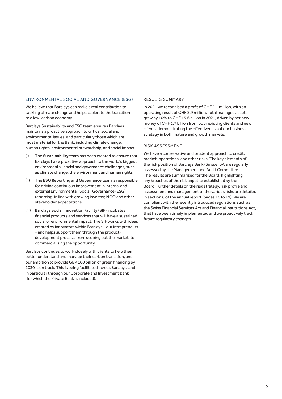#### ENVIRONMENTAL SOCIAL AND GOVERNANCE (ESG)

We believe that Barclays can make a real contribution to tackling climate change and help accelerate the transition to a low-carbon economy.

Barclays Sustainability and ESG team ensures Barclays maintains a proactive approach to critical social and environmental issues, and particularly those which are most material for the Bank, including climate change, human rights, environmental stewardship, and social impact.

- (i) The Sustainability team has been created to ensure that Barclays has a proactive approach to the world's biggest environmental, social and governance challenges, such as climate change, the environment and human rights.
- (ii) The ESG Reporting and Governance team is responsible for driving continuous improvement in internal and external Environmental, Social, Governance (ESG) reporting, in line with growing investor, NGO and other stakeholder expectations.
- (iii) Barclays Social Innovation Facility (SIF) incubates financial products and services that will have a sustained social or environmental impact. The SIF works with ideas created by innovators within Barclays – our intrapreneurs - and helps support them through the productdevelopment process, from scoping out the market, to commercialising the opportunity.

Barclays continues to work closely with clients to help them better understand and manage their carbon transition, and our ambition to provide GBP 100 billion of green financing by 2030 is on track. This is being facilitated across Barclays, and in particular through our Corporate and Investment Bank (for which the Private Bank is included).

#### RESULTS SUMMARY

In 2021 we recognised a profit of CHF 2.1 million, with an operating result of CHF 2.9 million. Total managed assets grew by 10% to CHF 15.6 billion in 2021, driven by net new money of CHF 1.7 billion from both existing clients and new clients, demonstrating the effectiveness of our business strategy in both mature and growth markets.

#### RISK ASSESSMENT

We have a conservative and prudent approach to credit, market, operational and other risks. The key elements of the risk position of Barclays Bank (Suisse) SA are regularly assessed by the Management and Audit Committee. The results are summarised for the Board, highlighting any breaches of the risk appetite established by the Board. Further details on the risk strategy, risk profile and assessment and management of the various risks are detailed in section 6 of the annual report (pages 16 to 19). We are compliant with the recently introduced regulations such as the Swiss Financial Services Act and Financial Institutions Act, that have been timely implemented and we proactively track future regulatory changes.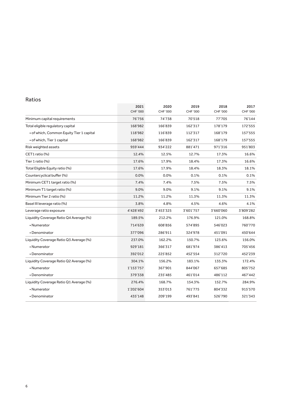## Ratios

|                                          | 2021<br><b>CHF '000</b> | 2020<br><b>CHF '000</b> | 2019<br><b>CHF '000</b> | 2018<br><b>CHF '000</b> | 2017<br><b>CHF '000</b> |
|------------------------------------------|-------------------------|-------------------------|-------------------------|-------------------------|-------------------------|
| Minimum capital requirements             | 76'756                  | 74'738                  | 70'518                  | 77'705                  | 76'144                  |
| Total eligible regulatory capital        | 168'982                 | 166'839                 | 162'317                 | 178'179                 | 172'555                 |
| • of which, Common Equity Tier 1 capital | 118'982                 | 116'839                 | 112'317                 | 168'179                 | 157'555                 |
| • of which, Tier 1 capital               | 168'982                 | 166'839                 | 162'317                 | 168'179                 | 157'555                 |
| Risk weighted assets                     | 959'444                 | 934'222                 | 881'471                 | 971'316                 | 951'803                 |
| CET1 ratio (%)                           | 12.4%                   | 12.5%                   | 12.7%                   | 17.3%                   | 16.6%                   |
| Tier 1 ratio (%)                         | 17.6%                   | 17.9%                   | 18.4%                   | 17.3%                   | 16.6%                   |
| Total Eligible Equity ratio (%)          | 17.6%                   | 17.9%                   | 18.4%                   | 18.3%                   | 18.1%                   |
| Countercyclical buffer (%)               | 0.0%                    | 0.0%                    | 0.1%                    | 0.1%                    | 0.1%                    |
| Minimum CET1 target ratio (%)            | 7.4%                    | 7.4%                    | 7.5%                    | 7.5%                    | 7.5%                    |
| Minimum T1 target ratio (%)              | 9.0%                    | 9.0%                    | 9.1%                    | 9.1%                    | 9.1%                    |
| Minimum Tier 2 ratio (%)                 | 11.2%                   | 11.2%                   | 11.3%                   | 11.3%                   | 11.3%                   |
| Basel III leverage ratio (%)             | 3.8%                    | 4.8%                    | 4.5%                    | 4.6%                    | 4.1%                    |
| Leverage ratio exposure                  | 4'428'492               | 3'453'325               | 3'601'757               | 3'660'060               | 3'809'282               |
| Liquidity Coverage Ratio Q4 Average (%)  | 189.5%                  | 212.2%                  | 176.9%                  | 121.0%                  | 168.8%                  |
| • Numerator                              | 714'639                 | 608'856                 | 574'895                 | 546'023                 | 760'770                 |
| • Denominator                            | 377'096                 | 286'911                 | 324'978                 | 451'091                 | 450'644                 |
| Liquidity Coverage Ratio Q3 Average (%)  | 237.0%                  | 162.2%                  | 150.7%                  | 123.6%                  | 156.0%                  |
| • Numerator                              | 929'181                 | 366'317                 | 681'974                 | 386'413                 | 705'456                 |
| • Denominator                            | 392'012                 | 225'852                 | 452'554                 | 312'720                 | 452'239                 |
| Liquidity Coverage Ratio Q2 Average (%)  | 304.1%                  | 156.2%                  | 183.1%                  | 135.3%                  | 172.4%                  |
| • Numerator                              | 1'153'757               | 367'901                 | 844'067                 | 657'685                 | 805'752                 |
| • Denominator                            | 379'338                 | 235'485                 | 461'014                 | 486'112                 | 467'442                 |
| Liquidity Coverage Ratio Q1 Average (%)  | 276.4%                  | 168.7%                  | 154.3%                  | 152.7%                  | 284.9%                  |
| • Numerator                              | 1'202'604               | 353'013                 | 761'775                 | 804'332                 | 915'570                 |
| • Denominator                            | 435'148                 | 209'199                 | 493'841                 | 526'790                 | 321'343                 |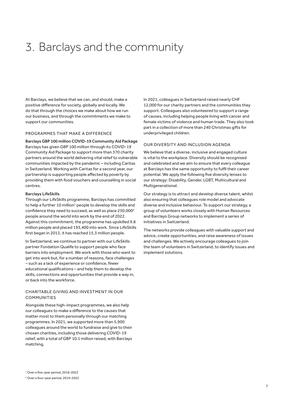## 3. Barclays and the community

At Barclays, we believe that we can, and should, make a positive difference for society, globally and locally. We do that through the choices we make about how we run our business, and through the commitments we make to support our communities.

## PROGRAMMES THAT MAKE A DIFFERENCE

Barclays GBP 100 million COVID-19 Community Aid Package Barclays has given GBP 100 million through its COVID-19 Community Aid Package to support more than 370 charity partners around the world delivering vital relief to vulnerable communities impacted by the pandemic – including Caritas in Switzerland. Working with Caritas for a second year, our partnership is supporting people affected by poverty by providing them with food vouchers and counselling in social centres.

#### Barclays LifeSkills

Through our LifeSkills programme, Barclays has committed to help a further 10 million $^{\rm 1}$  people to develop the skills and confidence they need to succeed, as well as place 250,000<sup>2</sup> people around the world into work by the end of 2022. Against this commitment, the programme has upskilled 9.8 million people and placed 193,400 into work. Since LifeSkills first began in 2013, it has reached 15.3 million people.

In Switzerland, we continue to partner with our LifeSkills partner Fondation Qualife to support people who face barriers into employment. We work with those who want to get into work but, for a number of reasons, face challenges – such as a lack of experience or confidence, fewer educational qualifications – and help them to develop the skills, connections and opportunities that provide a way in, or back into the workforce.

## CHARITABLE GIVING AND INVESTMENT IN OUR COMMUNITIES

Alongside these high-impact programmes, we also help our colleagues to make a difference to the causes that matter most to them personally through our matching programmes. In 2021, we supported more than 5,900 colleagues around the world to fundraise and give to their chosen charities, including those delivering COVID-19 relief, with a total of GBP 10.1 million raised, with Barclays matching.

In 2021, colleagues in Switzerland raised nearly CHF 12,000 for our charity partners and the communities they support. Colleagues also volunteered to support a range of causes, including helping people living with cancer and female victims of violence and human trade. They also took part in a collection of more than 240 Christmas gifts for underprivileged children.

#### OUR DIVERSITY AND INCLUSION AGENDA

We believe that a diverse, inclusive and engaged culture is vital to the workplace. Diversity should be recognised and celebrated and we aim to ensure that every colleague at Barclays has the same opportunity to fulfil their career potential. We apply the following five diversity lenses to our strategy: Disability, Gender, LGBT, Multicultural and Multigenerational.

Our strategy is to attract and develop diverse talent, whilst also ensuring that colleagues role model and advocate diverse and inclusive behaviour. To support our strategy, a group of volunteers works closely with Human Resources and Barclays Group networks to implement a series of initiatives in Switzerland.

The networks provide colleagues with valuable support and advice, create opportunities, and raise awareness of issues and challenges. We actively encourage colleagues to join the team of volunteers in Switzerland, to identify issues and implement solutions.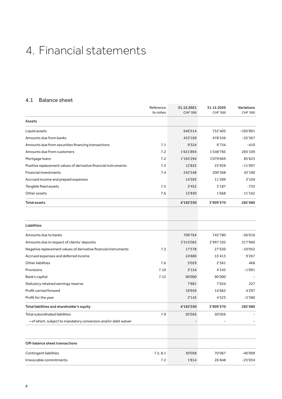## 4. Financial statements

## 4.1 Balance sheet

|                                                                 | Reference | 31.12.2021      | 31.12.2020      | Variations      |
|-----------------------------------------------------------------|-----------|-----------------|-----------------|-----------------|
|                                                                 | to notes  | <b>CHF '000</b> | <b>CHF '000</b> | <b>CHF '000</b> |
| Assets                                                          |           |                 |                 |                 |
| Liquid assets                                                   |           | 646'514         | 752'405         | $-105'891$      |
| Amounts due from banks                                          |           | 453'169         | 478'536         | $-25'367$       |
| Amounts due from securities financing transactions              | 7.1       | 9'324           | 9'734           | $-410$          |
| Amounts due from customers                                      | 7.2       | 1'631'894       | 1'348'785       | 283'109         |
| Mortgage loans                                                  | 7.2       | 1'165'294       | 1'079'669       | 85'625          |
| Positive replacement values of derivative financial instruments | 7.3       | 12'832          | 23'929          | $-11'097$       |
| <b>Financial investments</b>                                    | 7.4       | 243'548         | 200'368         | 43'180          |
| Accrued income and prepaid expenses                             |           | 14'393          | 11'289          | 3'104           |
| Tangible fixed assets                                           | 7.5       | 2'452           | 3'187           | $-735$          |
| Other assets                                                    | 7.6       | 12'830          | 1'668           | 11'162          |
| <b>Total assets</b>                                             |           | 4'192'250       | 3'909'570       | 282'680         |

| <b>Liabilities</b>                                              |      |           |           |           |
|-----------------------------------------------------------------|------|-----------|-----------|-----------|
| Amounts due to banks                                            |      | 709'764   | 745'780   | $-36'016$ |
| Amounts due in respect of clients' deposits                     |      | 3'315'062 | 2'997'102 | 317'960   |
| Negative replacement values of derivative financial instruments | 7.3  | 17'578    | 27'630    | $-10'052$ |
| Accrued expenses and deferred income                            |      | 24'680    | 15'413    | 9'267     |
| Other liabilities                                               | 7.6  | 3'029     | 2'561     | 468       |
| Provisions                                                      | 7.10 | 3'154     | 4'245     | $-1'091$  |
| Bank's capital                                                  | 7.12 | 90'000    | 90'000    |           |
| Statutory retained earnings reserve                             |      | 7'881     | 7'654     | 227       |
| Profit carried forward                                          |      | 18'959    | 14'662    | 4'297     |
| Profit for the year                                             |      | 2'143     | 4'523     | $-2'380$  |
| Total liabilities and shareholder's equity                      |      | 4'192'250 | 3'909'570 | 282'680   |
| <b>Total subordinated liabilities</b>                           | 7.9  | 50'056    | 50'056    |           |
| . of which, subject to mandatory conversion and/or debt waiver  |      |           |           |           |
|                                                                 |      |           |           |           |

| Off-balance sheet transactions |         |        |        |           |
|--------------------------------|---------|--------|--------|-----------|
| Contingent liabilities         | 7.2.8.1 | 30'058 | 70'067 | -40'009   |
| Irrevocable commitments        | 7.2     | 1'814  | 26'848 | $-25'034$ |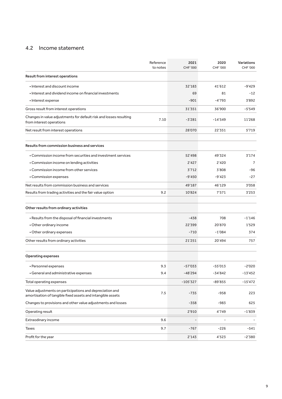## 4.2 Income statement

|                                                                                                                         | Reference<br>to notes | 2021<br><b>CHF '000</b>  | 2020<br><b>CHF '000</b> | Variations<br><b>CHF '000</b> |
|-------------------------------------------------------------------------------------------------------------------------|-----------------------|--------------------------|-------------------------|-------------------------------|
| Result from interest operations                                                                                         |                       |                          |                         |                               |
| • Interest and discount income                                                                                          |                       | 32'183                   | 41'612                  | $-9'429$                      |
| • Interest and dividend income on financial investments                                                                 |                       | 69                       | 81                      | $-12$                         |
| • Interest expense                                                                                                      |                       | $-901$                   | $-4'793$                | 3'892                         |
| Gross result from interest operations                                                                                   |                       | 31'351                   | 36'900                  | $-5'549$                      |
| Changes in value adjustments for default risk and losses resulting<br>from interest operations                          | 7.10                  | $-3'281$                 | $-14'549$               | 11'268                        |
| Net result from interest operations                                                                                     |                       | 28'070                   | 22'351                  | 5'719                         |
| Results from commission business and services                                                                           |                       |                          |                         |                               |
| • Commission income from securities and investment services                                                             |                       | 52'498                   | 49'324                  | 3'174                         |
| • Commission income on lending activities                                                                               |                       | 2'427                    | 2'420                   | 7                             |
| • Commission income from other services                                                                                 |                       | 3'712                    | 3'808                   | $-96$                         |
| • Commission expenses                                                                                                   |                       | $-9'450$                 | $-9'423$                | $-27$                         |
| Net results from commission business and services                                                                       |                       | 49'187                   | 46'129                  | 3'058                         |
| Results from trading activities and the fair value option                                                               | 9.2                   | 10'824                   | 7'571                   | 3'253                         |
| Other results from ordinary activities                                                                                  |                       |                          |                         |                               |
| . Results from the disposal of financial investments                                                                    |                       | $-438$                   | 708                     | $-1'146$                      |
| • Other ordinary income                                                                                                 |                       | 22'399                   | 20'870                  | 1'529                         |
| • Other ordinary expenses                                                                                               |                       | $-710$                   | $-1'084$                | 374                           |
| Other results from ordinary activities                                                                                  |                       | 21'251                   | 20'494                  | 757                           |
| Operating expenses                                                                                                      |                       |                          |                         |                               |
| • Personnel expenses                                                                                                    | 9.3                   | $-57'033$                | $-55'013$               | $-2'020$                      |
| • General and administrative expenses                                                                                   | 9.4                   | $-48'294$                | -34'842                 | -13'452                       |
| Total operating expenses                                                                                                |                       | $-105'327$               | $-89'855$               | $-15'472$                     |
| Value adjustments on participations and depreciation and<br>amortisation of tangible fixed assets and intangible assets | 7.5                   | $-735$                   | $-958$                  | 223                           |
| Changes to provisions and other value adjustments and losses                                                            |                       | $-358$                   | $-983$                  | 625                           |
| Operating result                                                                                                        |                       | 2'910                    | 4'749                   | $-1'839$                      |
| Extraodinary income                                                                                                     | 9.6                   | $\overline{\phantom{a}}$ | $\overline{a}$          |                               |
| Taxes                                                                                                                   | 9.7                   | $-767$                   | $-226$                  | -541                          |
| Profit for the year                                                                                                     |                       | 2'143                    | 4'523                   | $-2'380$                      |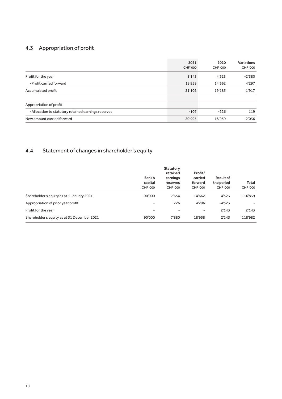## 4.3 Appropriation of profit

|                                                      | 2021<br><b>CHF '000</b> | 2020<br>CHF '000 | <b>Variations</b><br><b>CHF '000</b> |
|------------------------------------------------------|-------------------------|------------------|--------------------------------------|
| Profit for the year                                  | 2'143                   | 4'523            | $-2'380$                             |
| • Profit carried forward                             | 18'959                  | 14'662           | 4'297                                |
| Accumulated profit                                   | 21'102                  | 19'185           | 1'917                                |
|                                                      |                         |                  |                                      |
| Appropriation of profit                              |                         |                  |                                      |
| • Allocation to statutory retained earnings reserves | $-107$                  | $-226$           | 119                                  |
| New amount carried forward                           | 20'995                  | 18'959           | 2'036                                |

## 4.4 Statement of changes in shareholder's equity

|                                             | Bank's<br>capital<br><b>CHF '000</b> | Statutory<br>retained<br>earnings<br>reserves<br><b>CHF '000</b> | Profit/<br>carried<br>forward<br><b>CHF '000</b> | <b>Result of</b><br>the period<br>CHF '000 | Total<br><b>CHF '000</b> |
|---------------------------------------------|--------------------------------------|------------------------------------------------------------------|--------------------------------------------------|--------------------------------------------|--------------------------|
| Shareholder's equity as at 1 January 2021   | 90'000                               | 7'654                                                            | 14'662                                           | 4'523                                      | 116'839                  |
| Appropriation of prior year profit          | $\overline{\phantom{a}}$             | 226                                                              | 4'296                                            | $-4'523$                                   |                          |
| Profit for the year                         | ۰                                    |                                                                  | Ξ.                                               | 2'143                                      | 2'143                    |
| Shareholder's equity as at 31 December 2021 | 90'000                               | 7'880                                                            | 18'958                                           | 2'143                                      | 118'982                  |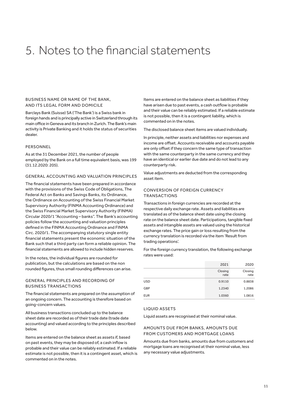## 5. Notes to the financial statements

## BUSINESS NAME OR NAME OF THE BANK, AND ITS LEGAL FORM AND DOMICILE

Barclays Bank (Suisse) SA ('The Bank') is a Swiss bank in foreign hands and is principally active in Switzerland through its main office in Geneva and its branch in Zurich. The Bank's main activity is Private Banking and it holds the status of securities dealer.

### PERSONNEL

As at the 31 December 2021, the number of people employed by the Bank on a full time equivalent basis, was 199 (31.12.2020: 205).

## GENERAL ACCOUNTING AND VALUATION PRINCIPLES

The financial statements have been prepared in accordance with the provisions of the Swiss Code of Obligations, The Federal Act on Banks and Savings Banks, its Ordinance, the Ordinance on Accounting of the Swiss Financial Market Supervisory Authority (FINMA Accounting Ordinance) and the Swiss Financial Market Supervisory Authority (FINMA) Circular 2020/1 "Accounting – banks". The Bank's accounting policies follow the accounting and valuation principles defined in the FINMA Accounting Ordinance and FINMA Circ. 2020/1. The accompanying statutory single entity financial statements present the economic situation of the Bank such that a third party can form a reliable opinion. The financial statements are allowed to include hidden reserves.

In the notes, the individual figures are rounded for publication, but the calculations are based on the nonrounded figures, thus small rounding differences can arise.

## GENERAL PRINCIPLES AND RECORDING OF BUSINESS TRANSACTIONS

The financial statements are prepared on the assumption of an ongoing concern. The accounting is therefore based on going-concern values.

All business transactions concluded up to the balance sheet date are recorded as of their trade date (trade date accounting) and valued according to the principles described below.

Items are entered on the balance sheet as assets if, based on past events, they may be disposed of, a cash inflow is probable and their value can be reliably estimated. If a reliable estimate is not possible, then it is a contingent asset, which is commented on in the notes.

Items are entered on the balance sheet as liabilities if they have arisen due to past events, a cash outflow is probable and their value can be reliably estimated. If a reliable estimate is not possible, then it is a contingent liability, which is commented on in the notes.

The disclosed balance sheet items are valued individually.

In principle, neither assets and liabilities nor expenses and income are offset. Accounts receivable and accounts payable are only offset if they concern the same type of transaction with the same counterparty in the same currency and they have an identical or earlier due date and do not lead to any counterparty risk.

Value adjustments are deducted from the corresponding asset item.

## CONVERSION OF FOREIGN CURRENCY **TRANSACTIONS**

Transactions in foreign currencies are recorded at the respective daily exchange rate. Assets and liabilities are translated as of the balance sheet date using the closing rate on the balance sheet date. Participations, tangible fixed assets and intangible assets are valued using the historical exchange rates. The price gain or loss resulting from the currency translation is recorded via the item 'Result from trading operations'.

For the foreign currency translation, the following exchange rates were used:

|            | 2021            | 2020            |
|------------|-----------------|-----------------|
|            | Closing<br>rate | Closing<br>rate |
| <b>USD</b> | 0.9110          | 0.8838          |
| GBP        | 1.2340          | 1.2086          |
| <b>EUR</b> | 1.0360          | 1.0816          |

## LIQUID ASSETS

Liquid assets are recognised at their nominal value.

## AMOUNTS DUE FROM BANKS, AMOUNTS DUE FROM CUSTOMERS AND MORTGAGE LOANS

Amounts due from banks, amounts due from customers and mortgage loans are recognised at their nominal value, less any necessary value adjustments.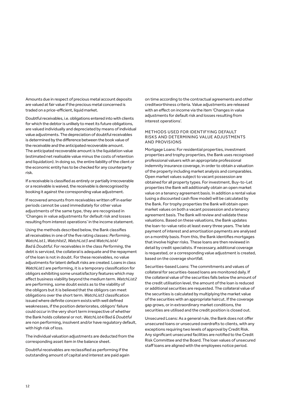Amounts due in respect of precious metal account deposits are valued at fair value if the precious metal concerned is traded on a price-efficient, liquid market.

Doubtful receivables, i.e. obligations entered into with clients for which the debtor is unlikely to meet its future obligations, are valued individually and depreciated by means of individual value adjustments. The depreciation of doubtful receivables is determined by the difference between the book value of the receivable and the anticipated recoverable amount. The anticipated recoverable amount is the liquidation value (estimated net realisable value minus the costs of retention and liquidation). In doing so, the entire liability of the client or the economic entity has to be checked for any counterparty risk.

If a receivable is classified as entirely or partially irrecoverable or a receivable is waived, the receivable is derecognised by booking it against the corresponding value adjustment.

Ifrecovered amounts from receivables written off in earlier periods cannot be used immediately for other value adjustments of the same type, they are recognised in 'Changes in value adjustments for default risk and losses resulting from interest operations' in the income statement.

Using the methods described below, the Bank classifies allreceivables in one ofthe five rating classes: *Performing*, *WatchList1*, *Watchlist2*, *WatchList3* and *WatchList4/ Bad & Doubtful*. Forreceivables in the class *Performing*, the debt is serviced, the collateral is adequate and the repayment of the loan is not in doubt. For these receivables, no value adjustments for latent default risks are created. Loans in class *WatchList1* are performing, it is a temporary classification for obligors exhibiting some unsatisfactory features which may affect business viability beyond the medium term. *WatchList2* are performing, some doubt exists as to the viability of the obligors but it is believed that the obligors can meet obligations over the short term. WatchList3 classification issued where definite concern exists with well defined weaknesses, ifthe position deteriorates, obligors' failure could occur in the very short term irrespective of whether the Bank holds collateral or not. *WatchList4/Bad & Doubtful* are non performing, insolvent and/or have regulatory default, with high risk of loss.

The individual valuation adjustments are deducted from the corresponding asset item in the balance sheet.

Doubtful receivables are reclassified as performing if the outstanding amount of capital and interest are paid again on time according to the contractual agreements and other creditworthiness criteria. Value adjustments are released with an effect on income via the item 'Changes in value adjustments for default risk and losses resulting from interest operations'.

## METHODS USED FOR IDENTIFYING DEFAULT RISKS AND DETERMINING VALUE ADJUSTMENTS AND PROVISIONS

Mortgage Loans: For residential properties, investment properties and trophy properties, the Bank uses recognised professional valuers with an appropriate professional indemnity insurance coverage, in order to obtain a valuation ofthe property including market analysis and comparables. Open market values subject to vacant possession are obtained for all property types. Forinvestment, Buy-to-Let properties the Bank will additionally obtain an open market value on a tenancy agreement basis. In addition a rental value (using a discounted cash flow model) will be calculated by the Bank. For trophy properties the Bank will obtain open market values on both a vacant possession and a tenancy agreement basis. The Bank will review and validate these valuations. Based on these valuations, the Bank updates the loan-to-value ratio at least every three years. The late payment of interest and amortisation payments are analysed on a monthly basis. From this, the Bank identifies mortgages that involve higher risks. These loans are then reviewed in detail by credit specialists. If necessary, additional coverage is requested, or a corresponding value adjustment is created, based on the coverage shortfall.

Securities-based Loans: The commitments and values of collateral for securities-based loans are monitored daily. If the collateral value of the securities falls below the amount of the credit utilisation level, the amount of the loan is reduced or additional securities are requested. The collateral value of the securities is calculated by multiplying the market value of the securities with an appropriate haircut. If the coverage gap grows, or in extraordinary market conditions, the securities are utilised and the credit position is closed out.

Unsecured Loans: As a general rule, the Bank does not offer unsecured loans or unsecured overdrafts to clients, with any exceptions requiring two levels of approval by Credit Risk. Any significant unsecured facilities are notified to the Credit Risk Committee and the Board. The loan values of unsecured staff loans are aligned with the employees notice period.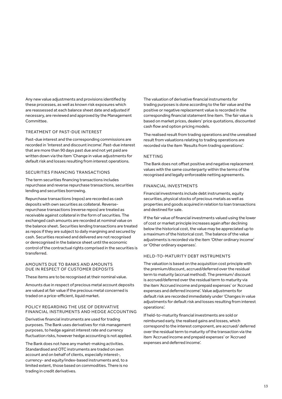Any new value adjustments and provisions identified by these processes, as well as known risk exposures which are reassessed at each balance sheet date and adjusted if necessary, are reviewed and approved by the Management Committee.

#### TREATMENT OF PAST-DUE INTEREST

Past-due interest and the corresponding commissions are recorded in 'Interest and discount income'. Past-due interest that are more than 90 days past due and not yet paid are written down via the item 'Change in value adjustments for default risk and losses resulting from interest operations.

#### SECURITIES FINANCING TRANSACTIONS

The term securities financing transactions includes repurchase and reverse repurchase transactions, securities lending and securities borrowing.

Repurchase transactions (repos) are recorded as cash deposits with own securities as collateral. Reverserepurchase transactions (reverse repos) are treated as receivable against collateral in the form of securities. The exchanged cash amounts are recorded at nominal value on the balance sheet. Securities lending transactions are treated as repos if they are subject to daily margining and secured by cash. Securities received and delivered are not recognised or derecognised in the balance sheet until the economic control of the contractual rights comprised in the securities is transferred.

## AMOUNTS DUE TO BANKS AND AMOUNTS DUE IN RESPECT OF CUSTOMER DEPOSITS

These items are to be recognised at their nominal value.

Amounts due in respect of precious metal account deposits are valued at fair value if the precious metal concerned is traded on a price-efficient, liquid market.

### POLICY REGARDING THE USE OF DERIVATIVE FINANCIAL INSTRUMENTS AND HEDGE ACCOUNTING

Derivative financial instruments are used for trading purposes. The Bank uses derivatives for risk management purposes, to hedge against interest rate and currency fluctuation risks, however hedge accounting is not applied.

The Bank does not have any market-making activities. Standardised and OTC instruments are traded on own account and on behalf of clients, especially interest-, currency- and equity/index-based instruments and, to a limited extent, those based on commodities. There is no trading in credit derivatives.

The valuation of derivative financial instruments for trading purposes is done according to the fair value and the positive or negative replacement value is recorded in the corresponding financial statement line item. The fair value is based on market prices, dealers' price quotations, discounted cash flow and option pricing models.

The realised result from trading operations and the unrealised result from valuations relating to trading operations are recorded via the item 'Results from trading operations'.

#### NETTING

The Bank does not offset positive and negative replacement values with the same counterparty within the terms of the recognised and legally enforceable netting agreements.

## FINANCIAL INVESTMENTS

Financial investments include debt instruments, equity securities, physical stocks of precious metals as well as properties and goods acquired in relation to loan transactions and destined for sale.

If the fair value of financial investments valued using the lower of cost or market principle increases again after declining below the historical cost, the value may be appreciated up to a maximum of the historical cost. The balance of the value adjustments is recorded via the item 'Other ordinary income' or 'Other ordinary expenses'.

## HELD-TO-MATURITY DEBT INSTRUMENTS

The valuation is based on the acquisition cost principle with the premium/discount, accrued/deferred over the residual term to maturity (accrual method). The premium/ discount is accrued/deferred over the residual term to maturity via the item 'Accrued income and prepaid expenses' or 'Accrued expenses and deferred income'. Value adjustments for default risk are recorded immediately under 'Changes in value adjustments for default risk and losses resulting from interest operations'.

If held-to-maturity financial investments are sold or reimbursed early, the realised gains and losses, which correspond to the interest component, are accrued/ deferred over the residual term to maturity of the transaction via the item 'Accrued income and prepaid expenses' or 'Accrued expenses and deferred income'.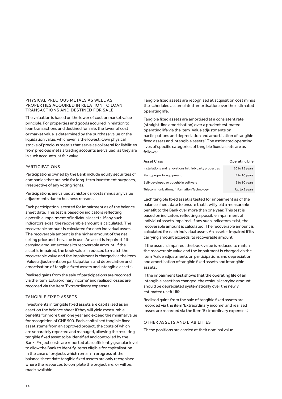## PHYSICAL PRECIOUS METALS AS WELL AS PROPERTIES ACQUIRED IN RELATION TO LOAN TRANSACTIONS AND DESTINED FOR SALE

The valuation is based on the lower of cost or market value principle. For properties and goods acquired in relation to loan transactions and destined for sale, the lower of cost or market value is determined by the purchase value orthe liquidation value, whichever is the lowest. Own physical stocks of precious metals that serve as collateral for liabilities from precious metals trading accounts are valued, as they are in such accounts, at fair value.

### **PARTICIPATIONS**

Participations owned by the Bank include equity securities of companies that are held for long-term investment purposes, irrespective of any voting rights.

Participations are valued at historical costs minus any value adjustments due to business reasons.

Each participation is tested for impairment as of the balance sheet date. This testis based on indicators reflecting a possible impairment of individual assets. If any such indicators exist, the recoverable amount is calculated. The recoverable amount is calculated for each individual asset. The recoverable amount is the higher amount of the net selling price and the value in use. An asset is impaired if its carrying amount exceeds its recoverable amount. If the asset is impaired, the book value is reduced to match the recoverable value and the impairment is charged via the item 'Value adjustments on participations and depreciation and amortisation of tangible fixed assets and intangible assets'.

Realised gains from the sale of participations are recorded via the item 'Extraordinary income' and realised losses are recorded via the item 'Extraordinary expenses'.

### TANGIBLE FIXED ASSETS

Investments in tangible fixed assets are capitalised as an asset on the balance sheet if they will yield measurable benefits for more than one year and exceed the minimal value for recognition of CHF 500. Each capitalised tangible fixed asset stems from an approved project, the costs of which are separately reported and managed, allowing the resulting tangible fixed asset to be identified and controlled by the Bank. Project costs are reported at a sufficiently granularlevel to allow the Bank to identify items eligible for capitalisation. In the case of projects which remain in progress at the balance sheet date tangible fixed assets are only recognised where the resources to complete the project are, or will be, made available.

Tangible fixed assets are recognised at acquisition cost minus the scheduled accumulated amortisation over the estimated operating life.

Tangible fixed assets are amortised at a consistent rate (straight-line amortisation) over a prudent estimated operating life via the item 'Value adjustments on participations and depreciation and amortisation oftangible fixed assets and intangible assets'. The estimated operating lives of specific categories of tangible fixed assets are as follows:

| <b>Asset Class</b>                                      | Operating Life |
|---------------------------------------------------------|----------------|
| Installations and renovations in third-party properties | 10 to 15 years |
| Plant, property, equipment                              | 4 to 10 years  |
| Self-developed or bought-in software                    | 5 to 10 years  |
| Telecommunications, Information Technology              | Up to 5 years  |

Each tangible fixed asset is tested for impairment as of the balance sheet date to ensure that it will yield a measurable benefit to the Bank over more than one year. This test is based on indicators reflecting a possible impairment of individual assets impaired. If any such indicators exist, the recoverable amount is calculated. The recoverable amount is calculated for each individual asset. An asset is impaired if its carrying amount exceeds its recoverable amount.

If the asset is impaired, the book value is reduced to match the recoverable value and the impairment is charged via the item 'Value adjustments on participations and depreciation and amortisation of tangible fixed assets and intangible assets'.

If the impairment test shows that the operating life of an intangible asset has changed, the residual carrying amount should be depreciated systematically over the newly estimated useful life.

Realised gains from the sale of tangible fixed assets are recorded via the item 'Extraordinary income' and realised losses are recorded via the item 'Extraordinary expenses'.

### OTHER ASSETS AND LIABILITIES

These positions are carried at their nominal value.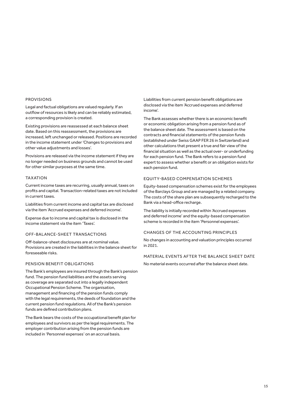#### PROVISIONS

Legal and factual obligations are valued regularly. If an outflow ofresources is likely and can be reliably estimated, a corresponding provision is created.

Existing provisions are reassessed at each balance sheet date. Based on this reassessment, the provisions are increased, left unchanged or released. Positions are recorded in the income statement under 'Changes to provisions and other value adjustments and losses'.

Provisions are released via the income statement if they are no longer needed on business grounds and cannot be used for other similar purposes at the same time.

### TAXATION

Current income taxes are recurring, usually annual, taxes on profits and capital. Transaction-related taxes are not included in current taxes.

Liabilities from current income and capital tax are disclosed via the item 'Accrued expenses and deferred income'.

Expense due to income and capital tax is disclosed in the income statement via the item 'Taxes'.

#### OFF-BALANCE-SHEET TRANSACTIONS

Off-balance-sheet disclosures are at nominal value. Provisions are created in the liabilities in the balance sheet for foreseeable risks.

## PENSION BENEFIT OBLIGATIONS

The Bank's employees are insured through the Bank's pension fund. The pension fund liabilities and the assets serving as coverage are separated out into a legally independent Occupational Pension Scheme. The organisation, management and financing of the pension funds comply with the legal requirements, the deeds of foundation and the current pension fund regulations. All of the Bank's pension funds are defined contribution plans.

The Bank bears the costs of the occupational benefit plan for employees and survivors as per the legal requirements. The employer contribution arising from the pension funds are included in 'Personnel expenses' on an accrual basis.

Liabilities from current pension benefit obligations are disclosed via the item 'Accrued expenses and deferred income'.

The Bank assesses whether there is an economic benefit or economic obligation arising from a pension fund as of the balance sheet date. The assessment is based on the contracts and financial statements of the pension funds (established under Swiss GAAP FER 26 in Switzerland) and other calculations that present a true and fair view of the financial situation as well as the actual over- or underfunding for each pension fund. The Bank refers to a pension fund expert to assess whether a benefit or an obligation exists for each pension fund.

## EQUITY-BASED COMPENSATION SCHEMES

Equity-based compensation schemes exist for the employees ofthe Barclays Group and are managed by a related company. The costs of the share plan are subsequently recharged to the Bank via a head-office recharge.

The liability is initially recorded within 'Accrued expenses and deferred income' and the equity-based compensation scheme is recorded in the item 'Personnel expenses'.

## CHANGES OF THE ACCOUNTING PRINCIPLES

No changes in accounting and valuation principles occurred in 2021.

## MATERIAL EVENTS AFTER THE BALANCE SHEET DATE

No material events occurred afterthe balance sheet date.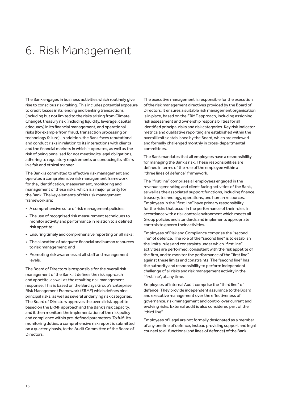## 6. Risk Management

The Bank engages in business activities which routinely give rise to conscious risk-taking. This includes potential exposure to credit losses in its lending and banking transactions (including but not limited to the risks arising from Climate Change), treasury risk (including liquidity, leverage, capital adequacy) in its financial management, and operational risks (for example from fraud, transaction processing or technology failure). In addition, the Bank faces reputational and conduct risks in relation to its interactions with clients and the financial markets in which it operates, as well as the risk of being penalised for not meeting its legal obligations, adhering to regulatory requirements or conducing its affairs in a fair and ethical manner.

The Bank is committed to effective risk management and operates a comprehensive risk management framework for the, identification, measurement, monitoring and management of these risks, which is a major priority for the Bank. The key elements of this risk management framework are:

- A comprehensive suite of risk management policies;
- The use of recognised risk measurement techniques to monitor activity and performance in relation to a defined risk appetite;
- Ensuring timely and comprehensive reporting on all risks;
- • The allocation of adequate financial and human resources to risk management; and
- • Promoting risk awareness at all staff and management levels.

The Board of Directors is responsible for the overall risk management of the Bank. It defines the risk approach and appetite, as well as the resulting risk management response. This is based on the Barclays Group's Enterprise Risk Management Framework (ERMF) which defines nine principal risks, as well as several underlying risk categories. The Board of Directors approves the overall risk appetite based on the ERMF approach and the Bank's risk capacity, and it then monitors the implementation of the risk policy and compliance within pre-defined parameters. To fulfil its monitoring duties, a comprehensive risk report is submitted on a quarterly basis, to the Audit Committee of the Board of Directors.

The executive management is responsible for the execution ofthe risk management directives provided by the Board of Directors. It ensures a suitable risk management organisation is in place, based on the ERMF approach, including assigning risk assessment and ownership responsibilities for all identified principal risks and risk categories. Key risk indicator metrics and qualitative reporting are established within the overall limits established by the Board, which are reviewed and formally challenged monthly in cross-departmental committees.

The Bank mandates that all employees have a responsibility for managing the Bank's risk. These responsibilities are defined in terms of the role of the employee within a "three lines of defence" framework.

The "first line" comprises all employees engaged in the revenue-generating and client-facing activities of the Bank, as well as the associated support functions, including finance, treasury, technology, operations, and human resources. Employees in the "first line" have primary responsibility for the risks that occur in the performance of their roles, in accordance with a risk control environment which meets all Group policies and standards and implements appropriate controls to govern their activities.

Employees of Risk and Compliance comprise the "second line" of defence. The role of the "second line" is to establish the limits, rules and constraints under which "first line" activities are performed, consistent with the risk appetite of the firm, and to monitor the performance of the "first line" against these limits and constraints. The "second line" has the authority and responsibility to perform independent challenge of all risks and risk management activity in the "first line", at any time.

Employees of Internal Audit comprise the "third line" of defence. They provide independent assurance to the Board and executive management over the effectiveness of governance, risk management and control over current and evolving risks. External audit is also considered part of the "third line".

Employees of Legal are not formally designated as a member of any one line of defence, instead providing support and legal counsel to all functions (and lines of defence) of the Bank.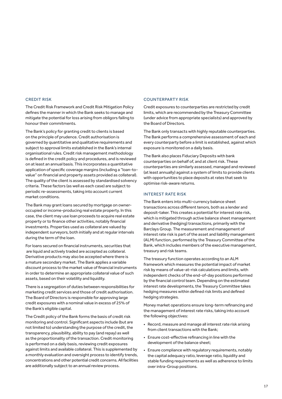#### CREDIT RISK

The Credit Risk Framework and Credit Risk Mitigation Policy defines the manner in which the Bank seeks to manage and mitigate the potential forloss arising from obligors failing to honour their commitments.

The Bank's policy for granting credit to clients is based on the principle of prudence. Credit authorisation is governed by quantitative and qualitative requirements and subject to approval limits established in the Bank's internal organisational rules. Credit risk management methodology is defined in the credit policy and procedures, and is reviewed on atleast an annual basis. This incorporates a quantitative application of specific coverage margins (including a "loan-tovalue" on financial and property assets provided as collateral). The quality of the client is assessed by standardised solvency criteria. These factors (as well as each case) are subject to periodic re-assessments, taking into account current market conditions.

The Bank may grant loans secured by mortgage on owneroccupied or income-producing real estate property. In this case, the client may use loan proceeds to acquire real estate property or to finance other activities, notably financial investments. Properties used as collateral are valued by independent surveyors, both initially and at regular intervals during the term of the loan.

For loans secured on financial instruments, securities that are liquid and actively traded are accepted as collateral. Derivative products may also be accepted where there is a mature secondary market. The Bank applies a variable discount process to the market value of financial instruments in order to determine an appropriate collateral value of such assets, based on their volatility and liquidity.

There is a segregation of duties between responsibilities for marketing credit services and those of credit authorisation. The Board of Directors is responsible for approving large credit exposures with a nominal value in excess of 25% of the Bank's eligible capital.

The Credit policy of the Bank forms the basis of credit risk monitoring and control. Significant aspects include (but are not limited to) understanding the purpose of the credit, the transparency, plausibility, ability to pay (and repay) as well as the proportionality of the transaction. Credit monitoring is performed on a daily basis, reviewing credit exposures against limits and available collateral. This is supplemented by a monthly evaluation and oversight process to identify trends, concentrations and other potential credit concerns. All facilities are additionally subject to an annual review process.

#### COUNTERPARTY RISK

Credit exposures to counterparties are restricted by credit limits, which are recommended by the Treasury Committee (under advice from appropriate specialists) and approved by the Board of Directors.

The Bank only transacts with highly reputable counterparties. The Bank performs a comprehensive assessment of each and every counterparty before a limit is established, against which exposure is monitored on a daily basis.

The Bank also places Fiduciary Deposits with bank counterparties on behalf of, and at client risk. These counterparties are similarly assessed, managed and reviewed (at least annually) against a system of limits to provide clients with opportunities to place deposits at rates that seek to optimise risk-aware returns.

#### INTEREST RATE RISK

The Bank enters into multi-currency balance sheet transactions across different tenors, both as a lender and deposit-taker. This creates a potential for interest rate risk, which is mitigated through active balance sheet management and derivative (hedging) transactions, primarily with the Barclays Group. The measurement and management of interest rate risk is part of the asset and liability management (ALM) function, performed by the Treasury Committee of the Bank, which includes members of the executive management, treasury and risk teams.

The treasury function operates according to an ALM framework which measures the potential impact of market risk by means of value-at-risk calculations and limits, with independent checks of the end-of-day positions performed by the financial control team. Depending on the estimated interest rate developments, the Treasury Committee takes hedging measures within defined risk limits and defined hedging strategies.

Money market operations ensure long-term refinancing and the management of interest rate risks, taking into account the following objectives:

- Record, measure and manage all interest rate risk arising from client transactions with the Bank;
- • Ensure cost-effective refinancing in line with the development of the balance sheet;
- • Ensure compliance with regulatory requirements, notably the capital adequacy ratio, leverage ratio, liquidity and stable funding requirements as well as adherence to limits overintra-Group positions.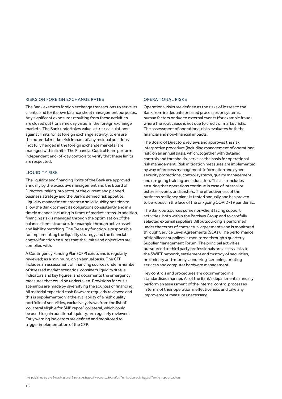#### RISKS ON FOREIGN EXCHANGE RATES

The Bank executes foreign exchange transactions to serve its clients, and for its own balance sheet management purposes. Any significant exposures resulting from these activities are closed out (for same day value) in the foreign exchange markets. The Bank undertakes value-at-risk calculations against limits for its foreign exchange activity, to ensure the potential market risk impact of any residual positions (not fully hedged in the foreign exchange markets) are managed within limits. The Financial Control team perform independent end-of-day controls to verify that these limits are respected.

#### LIQUIDITY RISK

The liquidity and financing limits of the Bank are approved annually by the executive management and the Board of Directors, taking into account the current and planned business strategy and the Bank's defined risk appetite. Liquidity management creates a solid liquidity position to allow the Bank to meet its obligations consistently and in a timely manner, including in times of market stress. In addition, financing risk is managed through the optimisation of the balance sheet structure, for example through active asset and liability matching. The Treasury function is responsible for implementing the liquidity strategy and the financial control function ensures that the limits and objectives are complied with.

A Contingency Funding Plan (CFP) exists and is regularly reviewed; as a minimum, on an annual basis. The CFP includes an assessment of financing sources under a number of stressed market scenarios, considers liquidity status indicators and key figures, and documents the emergency measures that could be undertaken. Provisions for crisis scenarios are made by diversifying the sources of financing. All material expected cash flows are regularly reviewed and this is supplemented via the availability of a high quality portfolio of securities, exclusively drawn from the list of 'collateral eligible for SNB repos' collateral, which could be used to gain additional liquidity, are regularly reviewed. Early warning indicators are defined and monitored to trigger implementation of the CFP.

#### OPERATIONAL RISKS

Operational risks are defined as the risks of losses to the Bank from inadequate or failed processes or systems, human factors or due to external events (for example fraud) where the root cause is not due to credit or market risks. The assessment of operational risks evaluates both the financial and non-financial impacts.

The Board of Directors reviews and approves the risk interpretive procedure (including management of operational risk) on an annual basis, which, together with detailed controls and thresholds, serve as the basis for operational risk management. Risk mitigation measures are implemented by way of process management, information and cyber security protections, control systems, quality management and on-going training and education. This also includes ensuring that operations continue in case of internal or external events or disasters. The effectiveness of the business resiliency plans is tested annually and has proven to be robust in the face of the on-going COVID-19 pandemic.

The Bank outsources some non-client facing support activities; both within the Barclays Group and to carefully selected external suppliers. All outsourcing is performed under the terms of contractual agreements and is monitored through Service Level Agreements (SLAs). The performance of significant suppliers is monitored through a quarterly Supplier Management Forum. The principal activities outsourced to third party professionals are access links to the SWIFT network, settlement and custody of securities, preliminary anti-money laundering screening, printing services and computer hardware management.

Key controls and procedures are documented in a standardised manner. All of the Bank's departments annually perform an assessment of the internal control processes in terms of their operational effectiveness and take any improvement measures necessary.

<sup>1</sup> As published by the Swiss National Bank, see: https://www.snb.ch/en/ifor/finmkt/operat/snbgc/id/finmkt\_repos\_baskets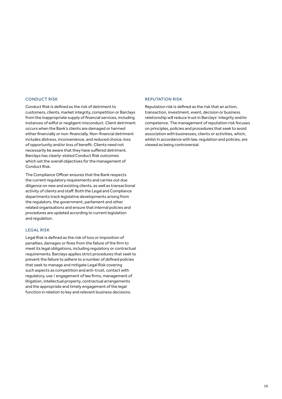## CONDUCT RISK

Conduct Risk is defined as the risk of detriment to customers, clients, market integrity, competition or Barclays from the inappropriate supply of financial services, including instances of wilful or negligent misconduct. Client detriment occurs when the Bank's clients are damaged or harmed either financially or non-financially. Non-financial detriment includes distress, inconvenience, and reduced choice, loss of opportunity and/or loss of benefit. Clients need not necessarily be aware that they have suffered detriment. Barclays has clearly-stated Conduct Risk outcomes which set the overall objectives for the management of Conduct Risk.

The Compliance Officer ensures that the Bank respects the current regulatory requirements and carries out due diligence on new and existing clients, as well as transactional activity of clients and staff. Both the Legal and Compliance departments track legislative developments arising from the regulators, the government, parliament and other related organisations and ensure that internal policies and procedures are updated according to current legislation and regulation.

### LEGAL RISK

Legal Risk is defined as the risk of loss or imposition of penalties, damages or fines from the failure of the firm to meet its legal obligations, including regulatory or contractual requirements. Barclays applies strict procedures that seek to prevent the failure to adhere to a number of defined policies that seek to manage and mitigate Legal Risk covering such aspects as competition and anti-trust, contact with regulatory, use / engagement of law firms, management of litigation, intellectual property, contractual arrangements and the appropriate and timely engagement of the legal function in relation to key and relevant business decisions.

#### REPUTATION RISK

Reputation risk is defined as the risk that an action, transaction, investment, event, decision or business relationship will reduce trust in Barclays' integrity and/or competence. The management of reputation risk focuses on principles, policies and procedures that seek to avoid association with businesses, clients or activities, which, whilst in accordance with law, regulation and policies, are viewed as being controversial.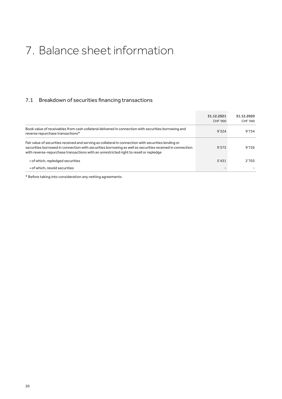## 7. Balance sheet information

## 7.1 Breakdown of securities financing transactions

|                                                                                                                                                                                                                                                                                                           | 31.12.2021<br>CHF '000 | 31.12.2020<br>CHF '000 |
|-----------------------------------------------------------------------------------------------------------------------------------------------------------------------------------------------------------------------------------------------------------------------------------------------------------|------------------------|------------------------|
| Book value of receivables from cash collateral delivered in connection with securities borrowing and<br>reverse repurchase transactions*                                                                                                                                                                  | 9'324                  | 9'734                  |
| Fair value of securities received and serving as collateral in connection with securities lending or<br>securities borrowed in connection with securities borrowing as well as securities received in connection<br>with reverse-repurchase transactions with an unrestricted right to resell or repledge | 9'373                  | 9'726                  |
| • of which, repledged securities                                                                                                                                                                                                                                                                          | 5'431                  | 2'703                  |
| · of which, resold securities                                                                                                                                                                                                                                                                             |                        |                        |

\* Before taking into consideration any netting agreements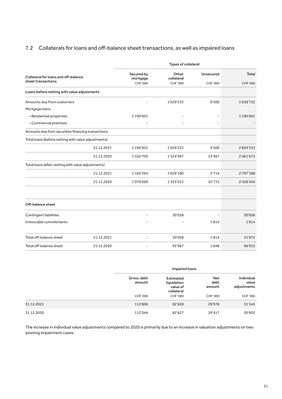## 7.2 Collaterals for loans and off-balance sheet transactions, as well as impaired loans

|                                                            |            | <b>Types of collateral</b> |                     |                |                 |  |  |
|------------------------------------------------------------|------------|----------------------------|---------------------|----------------|-----------------|--|--|
| Collateral for loans and off-balance<br>sheet transactions |            | Secured by<br>mortgage     | Other<br>collateral | Unsecured      | Total           |  |  |
|                                                            |            | <b>CHF '000</b>            | <b>CHF '000</b>     | CHF '000       | <b>CHF '000</b> |  |  |
| Loans before netting with value adjustments                |            |                            |                     |                |                 |  |  |
| Amounts due from customers                                 |            |                            | 1'629'232           | 9'500          | 1'638'732       |  |  |
| Mortgage loans                                             |            |                            |                     |                |                 |  |  |
| • Residential properties                                   |            | 1'190'601                  |                     |                | 1'190'601       |  |  |
| • Commercial premises                                      |            | $\overline{\phantom{a}}$   |                     | $\overline{a}$ |                 |  |  |
| Amounts due from securities financing transactions         |            |                            |                     |                |                 |  |  |
| Total loans (before netting with value adjustments)        |            |                            |                     |                |                 |  |  |
|                                                            | 31.12.2021 | 1'190'601                  | 1'629'232           | 9'500          | 2'829'333       |  |  |
|                                                            | 31.12.2020 | 1'102'709                  | 1'324'997           | 33'967         | 2'461'673       |  |  |
| Total loans (after netting with value adjustments)         |            |                            |                     |                |                 |  |  |
|                                                            | 31.12.2021 | 1'165'294                  | 1'629'180           | 2'714          | 2'797'188       |  |  |
|                                                            | 31.12.2020 | 1'079'669                  | 1'323'012           | 25'773         | 2'428'454       |  |  |
|                                                            |            |                            |                     |                |                 |  |  |
| Off-balance sheet                                          |            |                            |                     |                |                 |  |  |
| Contingent liabilities                                     |            |                            | 30'058              |                | 30'058          |  |  |
| Irrevocable commitments                                    |            |                            |                     | 1'814          | 1'814           |  |  |
| Total off-balance sheet                                    | 31.12.2021 |                            | 30'058              | 1'814          | 31'872          |  |  |
| Total off-balance sheet                                    | 31.12.2020 |                            | 95'067              | 1'848          | 96'915          |  |  |

|            |                      | Impaired loans                                            |                              |                                    |  |  |  |
|------------|----------------------|-----------------------------------------------------------|------------------------------|------------------------------------|--|--|--|
|            | Gross debt<br>amount | <b>Estimated</b><br>liquidation<br>value of<br>collateral | <b>Net</b><br>debt<br>amount | Individual<br>value<br>adjustments |  |  |  |
|            | CHF '000             | <b>CHF '000</b>                                           | <b>CHF '000</b>              | <b>CHF '000</b>                    |  |  |  |
| 31.12.2021 | 112'806              | 82'828                                                    | 29'978                       | 31'545                             |  |  |  |
| 31.12.2020 | 112'044              | 82'627                                                    | 29'417                       | 30'602                             |  |  |  |

The increase in individual value adjustments compared to 2020 is primarily due to an increase in valuation adjustments on two existing impairment cases.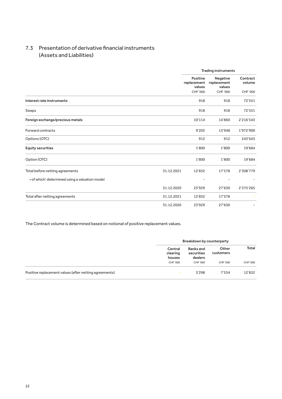## 7.3 Presentation of derivative financial instruments (Assets and Liabilities)

|                                                |            | <b>Trading instruments</b>                    |                                               |                                |  |  |
|------------------------------------------------|------------|-----------------------------------------------|-----------------------------------------------|--------------------------------|--|--|
|                                                |            | Positive<br>replacement<br>values<br>CHF '000 | Negative<br>replacement<br>values<br>CHF '000 | Contract<br>volume<br>CHF '000 |  |  |
| Interest rate instruments                      |            | 918                                           | 918                                           | 72'551                         |  |  |
| Swaps                                          |            | 918                                           | 918                                           | 72'551                         |  |  |
| Foreign exchange/precious metals               |            | 10'114                                        | 14'860                                        | 2'216'543                      |  |  |
| <b>Forward contracts</b>                       |            | 9'202                                         | 13'948                                        | 1'972'900                      |  |  |
| Options (OTC)                                  |            | 912                                           | 912                                           | 243'643                        |  |  |
| <b>Equity securities</b>                       |            | 1'800                                         | 1'800                                         | 19'684                         |  |  |
| Option (OTC)                                   |            | 1'800                                         | 1'800                                         | 19'684                         |  |  |
| Total before netting agreements                | 31.12.2021 | 12'832                                        | 17'578                                        | 2'308'779                      |  |  |
| • of which' determined using a valuation model |            |                                               |                                               |                                |  |  |
|                                                | 31.12.2020 | 23'929                                        | 27'630                                        | 2'375'265                      |  |  |
| Total after netting agreements                 | 31.12.2021 | 12'832                                        | 17'578                                        |                                |  |  |
|                                                | 31.12.2020 | 23'929                                        | 27'630                                        |                                |  |  |

The Contract volume is determined based on notional of positive replacement values.

|                                                        |                               | Breakdown by counterparty                 |                                |          |  |
|--------------------------------------------------------|-------------------------------|-------------------------------------------|--------------------------------|----------|--|
|                                                        | Central<br>clearing<br>houses | <b>Banks and</b><br>securities<br>dealers | Other<br>customers<br>CHF '000 | Total    |  |
|                                                        | CHF '000                      | CHF '000                                  |                                | CHF '000 |  |
| Positive replacement values (after netting agreements) | -                             | 5'298                                     | 7'534                          | 12'832   |  |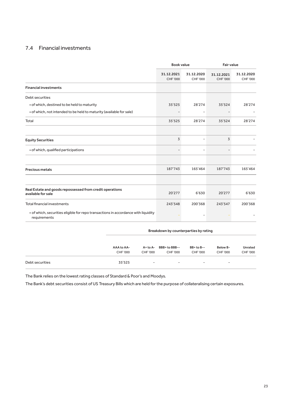## 7.4 Financial investments

|                                                                                                    | <b>Book value</b>                     |                        | <b>Fair value</b>      |                        |  |
|----------------------------------------------------------------------------------------------------|---------------------------------------|------------------------|------------------------|------------------------|--|
|                                                                                                    | 31.12.2021<br>CHF '000                | 31.12.2020<br>CHF '000 | 31.12.2021<br>CHF '000 | 31.12.2020<br>CHF '000 |  |
| <b>Financial investments</b>                                                                       |                                       |                        |                        |                        |  |
| Debt securities                                                                                    |                                       |                        |                        |                        |  |
| • of which, destined to be held to maturity                                                        | 35'525                                | 28'274                 | 35'524                 | 28'274                 |  |
| · of which, not intended to be held to maturity (available for sale)                               |                                       |                        |                        |                        |  |
| Total                                                                                              | 35'525                                | 28'274                 | 35'524                 | 28'274                 |  |
|                                                                                                    |                                       |                        |                        |                        |  |
| <b>Equity Securities</b>                                                                           | 3                                     |                        | 3                      |                        |  |
| · of which, qualified participations                                                               |                                       |                        |                        |                        |  |
|                                                                                                    |                                       |                        |                        |                        |  |
| <b>Precious metals</b>                                                                             | 187'743                               | 165'464                | 187'743                | 165'464                |  |
|                                                                                                    |                                       |                        |                        |                        |  |
| Real Estate and goods repossessed from credit operations<br>available for sale                     | 20'277                                | 6'630                  | 20'277                 | 6'630                  |  |
| Total financial investments                                                                        | 243'548                               | 200'368                | 243'547                | 200'368                |  |
| • of which, securities eligible for repo transactions in accordance with liquidity<br>requirements |                                       |                        |                        |                        |  |
|                                                                                                    | Breakdown by counterparties by rating |                        |                        |                        |  |
|                                                                                                    |                                       |                        |                        |                        |  |

|                 | AAA to AA-      | A+ to A-        | BBB+toBBB--     | BB+toB--        | Below B-        | Unrated         |
|-----------------|-----------------|-----------------|-----------------|-----------------|-----------------|-----------------|
|                 | <b>CHF '000</b> | <b>CHF '000</b> | <b>CHF '000</b> | <b>CHF '000</b> | <b>CHF '000</b> | <b>CHF '000</b> |
| Debt securities | 35'525          | $\sim$          | $\sim$          | $\sim$          | -               |                 |

The Bank relies on the lowest rating classes of Standard & Poor's and Moodys.

The Bank's debt securities consist of US Treasury Bills which are held forthe purpose of collateralising certain exposures.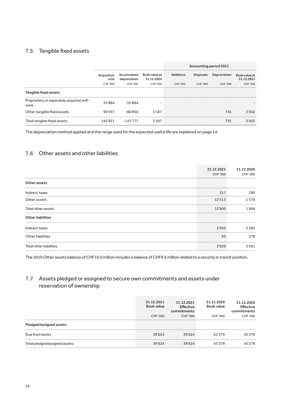## 7.5 Tangible fixed assets

|                                                  |                     |                             |                             | Accounting period 2021 |                  |              |                             |
|--------------------------------------------------|---------------------|-----------------------------|-----------------------------|------------------------|------------------|--------------|-----------------------------|
|                                                  | Acquisition<br>cost | Accumulated<br>depreciation | Book value at<br>31.12.2020 | <b>Additions</b>       | <b>Disposals</b> | Depreciation | Book value at<br>31.12.2021 |
|                                                  | CHF '000            | CHF '000                    | CHF '000                    | <b>CHF '000</b>        | CHF '000         | CHF '000     | CHF '000                    |
| Tangible fixed assets                            |                     |                             |                             |                        |                  |              |                             |
| Proprietary or separately acquired soft-<br>ware | 55'884              | $-55'884$                   | ۰                           |                        |                  |              |                             |
| Other tangible fixed assets                      | 90'037              | $-86'850$                   | 3'187                       |                        |                  | 735          | 2'452                       |
| Total tangible fixed assets                      | 145'921             | $-141'777$                  | 3'187                       |                        |                  | 735          | 2'452                       |

The depreciation method applied and the range used for the expected useful life are explained on page 14.

## 7.6 Other assets and other liabilities

|                          | 31.12.2021<br><b>CHF '000</b> | 31.12.2020<br>CHF '000 |
|--------------------------|-------------------------------|------------------------|
| Other assets             |                               |                        |
| Indirect taxes           | 317                           | 290                    |
| Other assets             | 12'513                        | 1'378                  |
| Total other assets       | 12'830                        | 1'668                  |
| <b>Other liabilities</b> |                               |                        |
| Indirect taxes           | 2'936                         | 2'283                  |
| Other liabilities        | 93                            | 278                    |
| Total other liabilities  | 3'029                         | 2'561                  |

The 2019 Other assets balance ofCHF10.0 million includes a balance ofCHF9.6 million related to a security in transit position.

## 7.7 Assets pledged or assigned to secure own commitments and assets under reservation of ownership

|                               | 31.12.2021<br><b>Book value</b> | 31.12.2021<br><b>Effective</b><br>commitments | 31.12.2020<br><b>Book value</b> | 31.12.2020<br><b>Effective</b><br>commitments |
|-------------------------------|---------------------------------|-----------------------------------------------|---------------------------------|-----------------------------------------------|
|                               | CHF '000                        | <b>CHF '000</b>                               | <b>CHF '000</b>                 | <b>CHF '000</b>                               |
| Pledged/assigned assets       |                                 |                                               |                                 |                                               |
| Due from banks                | 39'624                          | 39'624                                        | 43'279                          | 43'279                                        |
| Total pledged/assigned assets | 39'624                          | 39'624                                        | 43'279                          | 43'279                                        |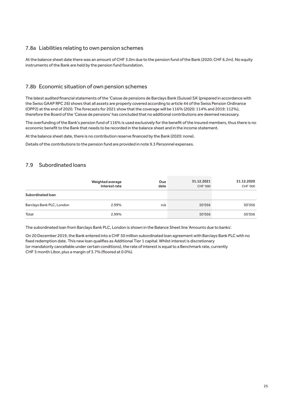## 7.8a Liabilities relating to own pension schemes

Atthe balance sheet date there was an amount of CHF 3.0m due to the pension fund ofthe Bank (2020: CHF 6.2m). No equity instruments of the Bank are held by the pension fund foundation.

## 7.8b Economic situation of own pension schemes

The latest audited financial statements of the 'Caisse de pensions de Barclays Bank (Suisse) SA' (prepared in accordance with the Swiss GAAP RPC 26) shows that all assets are properly covered according to article 44 of the Swiss Pension Ordinance (OPP2) at the end of 2020. The forecasts for 2021 show that the coverage will be 116% (2020: 114% and 2019: 112%), therefore the Board ofthe 'Caisse de pensions' has concluded that no additional contributions are deemed necessary.

The overfunding of the Bank's pension fund of 116% is used exclusively for the benefit of the insured members, thus there is no economic benefit to the Bank that needs to be recorded in the balance sheet and in the income statement.

At the balance sheet date, there is no contribution reserve financed by the Bank (2020: none).

Details ofthe contributions to the pension fund are provided in note 9.3 Personnel expenses.

## 7.9 Subordinated loans

|                           | Weighted average<br>interest rate | Due<br>date | 31.12.2021<br><b>CHF '000</b> | 31.12.2020<br>CHF '000 |
|---------------------------|-----------------------------------|-------------|-------------------------------|------------------------|
| Subordinated Ioan         |                                   |             |                               |                        |
| Barclays Bank PLC, London | 2.99%                             | n/a         | 50'056                        | 50'056                 |
| Total                     | 2.99%                             |             | 50'056                        | 50'056                 |

The subordinated loan from Barclays Bank PLC, London is shown in the Balance Sheetline 'Amounts due to banks'.

On 20 December 2019,the Bank entered into a CHF 50 million subordinated loan agreement with Barclays Bank PLC with no fixed redemption date. This new loan qualifies as Additional Tier 1 capital. Whilst interest is discretionary (or mandatorily cancellable under certain conditions), the rate of interest is equal to a Benchmark rate, currently CHF 3 month Libor, plus a margin of 3.7% (floored at 0.0%).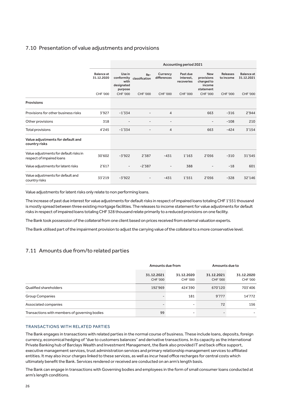## 7.10 Presentation of value adjustments and provisions

|                                                                     |                                 |                                                       | Accounting period 2021   |                          |                                     |                                                               |                              |                                 |
|---------------------------------------------------------------------|---------------------------------|-------------------------------------------------------|--------------------------|--------------------------|-------------------------------------|---------------------------------------------------------------|------------------------------|---------------------------------|
|                                                                     | <b>Balance</b> at<br>31.12.2020 | Use in<br>conformity<br>with<br>designated<br>purpose | Re-<br>classification    | Currency<br>differences  | Past due<br>interest.<br>recoveries | <b>New</b><br>provisions<br>charged to<br>income<br>statement | <b>Releases</b><br>to income | <b>Balance</b> at<br>31.12.2021 |
|                                                                     | CHF '000                        | CHF '000                                              | <b>CHF '000</b>          | CHF '000                 | <b>CHF '000</b>                     | <b>CHF '000</b>                                               | <b>CHF '000</b>              | CHF '000                        |
| <b>Provisions</b>                                                   |                                 |                                                       |                          |                          |                                     |                                                               |                              |                                 |
| Provisions for other business risks                                 | 3'927                           | $-1'334$                                              |                          | $\overline{4}$           |                                     | 663                                                           | $-316$                       | 2'944                           |
| Other provisions                                                    | 318                             | $\overline{\phantom{a}}$                              | -                        | $\overline{\phantom{0}}$ |                                     | $\overline{\phantom{a}}$                                      | $-108$                       | 210                             |
| <b>Total provisions</b>                                             | 4'245                           | $-1'334$                                              | $\overline{\phantom{0}}$ | 4                        |                                     | 663                                                           | $-424$                       | 3'154                           |
| Value adjustments for default and<br>country risks                  |                                 |                                                       |                          |                          |                                     |                                                               |                              |                                 |
| Value adjustments for default risks in<br>respect of impaired loans | 30'602                          | $-3'922$                                              | 2'387                    | $-431$                   | 1'163                               | 2'056                                                         | $-310$                       | 31'545                          |
| Value adjustments for latent risks                                  | 2'617                           | $\overline{\phantom{a}}$                              | $-2'387$                 | $\overline{\phantom{0}}$ | 388                                 | $\qquad \qquad -$                                             | $-18$                        | 601                             |
| Value adjustments for default and<br>country risks                  | 33'219                          | $-3'922$                                              |                          | $-431$                   | 1'551                               | 2'056                                                         | $-328$                       | 32'146                          |

Value adjustments for latent risks only relate to non performing loans.

The increase of past due interest for value adjustments for default risks in respect of impaired loans totaling CHF 1'551 thousand is mostly spread between three existing mortgage facilities. The releases to income statement for value adjustments for default risks in respect of impaired loans totaling CHF 328 thousand relate primarily to a reduced provisions on one facility.

The Bank took possession of the collateral from one client based on prices received from external valuation experts.

The Bank utilised part of the impairment provision to adjust the carrying value of the collateral to a more conservative level.

## 7.11 Amounts due from/to related parties

|                                               | Amounts due from              |                        | Amounts due to                |                               |  |
|-----------------------------------------------|-------------------------------|------------------------|-------------------------------|-------------------------------|--|
|                                               | 31.12.2021<br><b>CHF '000</b> | 31.12.2020<br>CHF '000 | 31.12.2021<br><b>CHF '000</b> | 31.12.2020<br><b>CHF '000</b> |  |
| Qualified shareholders                        | 192'969                       | 424'390                | 670'120                       | 703'406                       |  |
| <b>Group Companies</b>                        |                               | 181                    | 9'777                         | 14'772                        |  |
| Associated companies                          |                               |                        | 72                            | 156                           |  |
| Transactions with members of governing bodies | 99                            | -                      |                               |                               |  |

### TRANSACTIONS WITH RELATED PARTIES

The Bank engages in transactions with related parties in the normal course of business. These include loans, deposits, foreign currency, economical hedging of "due to customers balances" and derivative transactions. In its capacity as the international Private Banking hub of Barclays Wealth and Investment Management, the Bank also provided IT and back office support, executive management services, trust administration services and primary relationship management services to affiliated entities. It may also incur charges linked to these services, as well as incur head office recharges for central costs which ultimately benefit the Bank. Services rendered or received are conducted on an arm's length basis.

The Bank can engage in transactions with Governing bodies and employees in the form of small consumerloans conducted at arm's length conditions.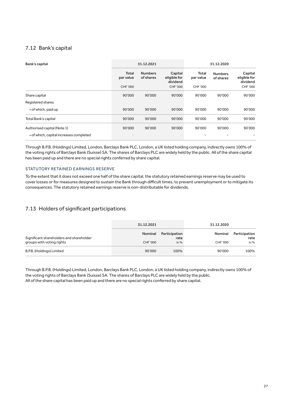## 7.12 Bank's capital

| Bank's capital                          | 31.12.2021                |                             |                                     | 31.12.2020         |                             |                                     |  |
|-----------------------------------------|---------------------------|-----------------------------|-------------------------------------|--------------------|-----------------------------|-------------------------------------|--|
|                                         | <b>Total</b><br>par value | <b>Numbers</b><br>of shares | Capital<br>eligible for<br>dividend | Total<br>par value | <b>Numbers</b><br>of shares | Capital<br>eligible for<br>dividend |  |
|                                         | <b>CHF '000</b>           |                             | <b>CHF '000</b>                     | <b>CHF '000</b>    |                             | <b>CHF '000</b>                     |  |
| Share capital                           | 90'000                    | 90'000                      | 90'000                              | 90'000             | 90'000                      | 90'000                              |  |
| Registered shares                       |                           |                             |                                     |                    |                             |                                     |  |
| • of which, paid up                     | 90'000                    | 90'000                      | 90'000                              | 90'000             | 90'000                      | 90'000                              |  |
| <b>Total Bank's capital</b>             | 90'000                    | 90'000                      | 90'000                              | 90'000             | 90'000                      | 90'000                              |  |
| Authorised capital (Note 1)             | 90'000                    | 90'000                      | 90'000                              | 90'000             | 90'000                      | 90'000                              |  |
| • of which, capital increases completed |                           |                             |                                     |                    |                             |                                     |  |

Through B.P.B. (Holdings) Limited, London, Barclays Bank PLC, London, a UK listed holding company, indirectly owns 100% of the voting rights of Barclays Bank (Suisse) SA. The shares of Barclays PLC are widely held by the public. All ofthe share capital has been paid up and there are no special rights conferred by share capital.

## STATUTORY RETAINED EARNINGS RESERVE

To the extent that it does not exceed one half of the share capital, the statutory retained earnings reserve may be used to cover losses or for measures designed to sustain the Bank through difficult times, to prevent unemployment or to mitigate its consequences. The statutory retained earnings reserve is non-distributable for dividends.

## 7.13 Holders of significant participations

|                                          | 31.12.2021      |                       | 31.12.2020 |                       |
|------------------------------------------|-----------------|-----------------------|------------|-----------------------|
| Significant shareholders and shareholder | <b>Nominal</b>  | Participation<br>rate | Nominal    | Participation<br>rate |
| groups with voting rights                | <b>CHF '000</b> | in $%$                | CHF '000   | in $%$                |
| B.P.B. (Holdings) Limited                | 90'000          | 100%                  | 90'000     | 100%                  |

Through B.P.B. (Holdings) Limited, London, Barclays Bank PLC, London, a UK listed holding company, indirectly owns 100% of the voting rights of Barclays Bank (Suisse) SA. The shares of Barclays PLC are widely held by the public. All of the share capital has been paid up and there are no special rights conferred by share capital.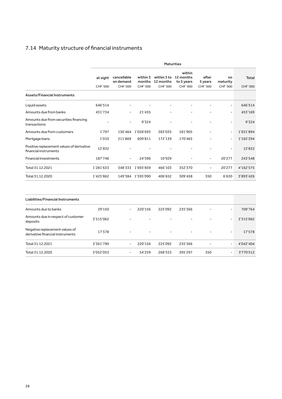## 7.14 Maturity structure of financial instruments

|                                                                    | <b>Maturities</b>    |                                      |                                |                                      |                                               |                              |                            |                          |
|--------------------------------------------------------------------|----------------------|--------------------------------------|--------------------------------|--------------------------------------|-----------------------------------------------|------------------------------|----------------------------|--------------------------|
|                                                                    | at sight<br>CHF '000 | cancellable<br>on demand<br>CHF '000 | within 3<br>months<br>CHF '000 | within 3 to<br>12 months<br>CHF '000 | within<br>12 months<br>to 5 years<br>CHF '000 | after<br>5 years<br>CHF '000 | no<br>maturity<br>CHF '000 | Total<br><b>CHF '000</b> |
| <b>Assets/Financial Instruments</b>                                |                      |                                      |                                |                                      |                                               |                              |                            |                          |
| Liquid assets                                                      | 646'514              |                                      |                                |                                      |                                               |                              | -                          | 646'514                  |
| Amounts due from banks                                             | 431'734              | -                                    | 21'435                         |                                      |                                               |                              | -                          | 453'169                  |
| Amounts due from securities financing<br>transactions              |                      | $\overline{\phantom{a}}$             | 9'324                          |                                      |                                               |                              |                            | 9'324                    |
| Amounts due from customers                                         | 1'797                | 136'464                              | 1'028'693                      | 283'035                              | 181'905                                       |                              | $\overline{\phantom{a}}$   | 1'631'894                |
| Mortgage loans                                                     | 1'010                | 211'869                              | 609'811                        | 172'139                              | 170'465                                       |                              | $\overline{\phantom{a}}$   | 1'165'294                |
| Positive replacement values of derivative<br>financial instruments | 12'832               |                                      |                                |                                      |                                               |                              |                            | 12'832                   |
| <b>Financial investments</b>                                       | 187'746              | -                                    | 24'596                         | 10'929                               |                                               | -                            | 20'277                     | 243'548                  |
| Total 31.12.2021                                                   | 1'281'633            | 348'333                              | 1'693'859                      | 466'103                              | 352'370                                       | -                            | 20'277                     | 4'162'575                |
| Total 31.12.2020                                                   | 1'425'862            | 149'384                              | 1'595'090                      | 406'652                              | 309'458                                       | 350                          | 6'630                      | 3'893'426                |

| Liabilities/Financial Instruments                                  |           |   |                          |                          |         |     |                          |           |
|--------------------------------------------------------------------|-----------|---|--------------------------|--------------------------|---------|-----|--------------------------|-----------|
| Amounts due to banks                                               | 29'150    | ۰ | 220'156                  | 225'092                  | 235'366 |     | $\overline{\phantom{0}}$ | 709'764   |
| Amounts due in respect of customer<br>deposits                     | 3'315'062 |   | ۰                        |                          |         |     | $\overline{\phantom{0}}$ | 3'315'062 |
| Negative replacement values of<br>derivative financial instruments | 17'578    | - | $\overline{\phantom{a}}$ | $\overline{\phantom{0}}$ |         |     |                          | 17'578    |
| Total 31.12.2021                                                   | 3'361'790 | ۰ | 220'156                  | 225'092                  | 235'366 |     | ۰                        | 4'042'404 |
| Total 31.12.2020                                                   | 3'052'053 | - | 54'259                   | 268'553                  | 395'297 | 350 | $\overline{\phantom{0}}$ | 3'770'512 |
|                                                                    |           |   |                          |                          |         |     |                          |           |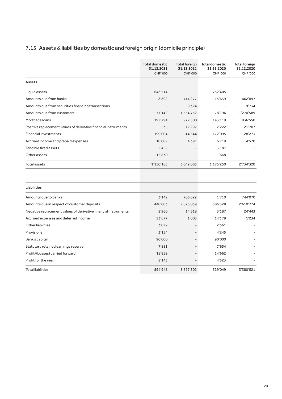## 7.15 Assets & liabilities by domestic and foreign origin (domicile principle)

|                                                                 | <b>Total domestic</b><br>31.12.2021<br><b>CHF '000</b> | <b>Total foreign</b><br>31.12.2021<br><b>CHF '000</b> | Total domestic<br>31.12.2020<br><b>CHF '000</b> | <b>Total foreign</b><br>31.12.2020<br><b>CHF '000</b> |
|-----------------------------------------------------------------|--------------------------------------------------------|-------------------------------------------------------|-------------------------------------------------|-------------------------------------------------------|
| Assets                                                          |                                                        |                                                       |                                                 |                                                       |
| Liquid assets                                                   | 646'514                                                |                                                       | 752'405                                         |                                                       |
| Amounts due from banks                                          | 8'892                                                  | 444'277                                               | 15'639                                          | 462'897                                               |
| Amounts due from securities financing transactions              |                                                        | 9'324                                                 |                                                 | 9'734                                                 |
| Amounts due from customers                                      | 77'142                                                 | 1'554'752                                             | 78'196                                          | 1'270'589                                             |
| Mortgage loans                                                  | 192'794                                                | 972'500                                               | 143'119                                         | 936'550                                               |
| Positive replacement values of derivative financial instruments | 535                                                    | 12'297                                                | 2'222                                           | 21'707                                                |
| <b>Financial investments</b>                                    | 199'004                                                | 44'544                                                | 172'095                                         | 28'273                                                |
| Accrued income and prepaid expenses                             | 10'002                                                 | 4'391                                                 | 6'719                                           | 4'570                                                 |
| Tangible fixed assets                                           | 2'452                                                  |                                                       | 3'187                                           |                                                       |
| Other assets                                                    | 12'830                                                 |                                                       | 1'668                                           |                                                       |
| <b>Total assets</b>                                             | 1'150'165                                              | 3'042'085                                             | 1'175'250                                       | 2'734'320                                             |
| <b>Liabilities</b>                                              |                                                        |                                                       |                                                 |                                                       |
| Amounts due to banks                                            | 3'142                                                  | 706'622                                               | 1'710                                           | 744'070                                               |
| Amounts due in respect of customer deposits                     | 440'003                                                | 2'875'059                                             | 386'328                                         | 2'610'774                                             |
| Negative replacement values of derivative financial instruments | 2'960                                                  | 14'618                                                | 3'187                                           | 24'443                                                |
| Accrued expenses and deferred income                            | 23'677                                                 | 1'003                                                 | 14'179                                          | 1'234                                                 |
| Other liabilities                                               | 3'029                                                  |                                                       | 2'561                                           |                                                       |
| Provisions                                                      | 3'154                                                  |                                                       | 4'245                                           |                                                       |
| Bank's capital                                                  | 90'000                                                 |                                                       | 90'000                                          |                                                       |
| Statutory retained earnings reserve                             | 7'881                                                  |                                                       | 7'654                                           |                                                       |
| Profit/(Losses) carried forward                                 | 18'959                                                 |                                                       | 14'662                                          |                                                       |
| Profit for the year                                             | 2'143                                                  |                                                       | 4'523                                           |                                                       |
| <b>Total liabilities</b>                                        | 594'948                                                | 3'597'302                                             | 529'049                                         | 3'380'521                                             |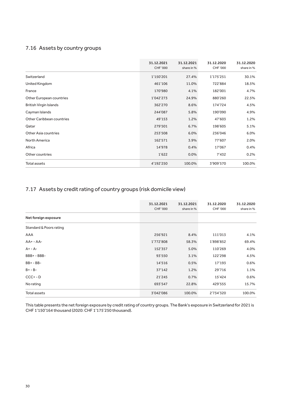## 7.16 Assets by country groups

|                               | 31.12.2021<br><b>CHF '000</b> | 31.12.2021<br>share in % | 31.12.2020<br><b>CHF '000</b> | 31.12.2020<br>share in % |
|-------------------------------|-------------------------------|--------------------------|-------------------------------|--------------------------|
| Switzerland                   | 1'150'201                     | 27.4%                    | 1'175'251                     | 30.1%                    |
| United Kingdom                | 461'106                       | 11.0%                    | 722'884                       | 18.5%                    |
| France                        | 170'980                       | 4.1%                     | 182'001                       | 4.7%                     |
| Other European countries      | 1'042'273                     | 24.9%                    | 880'260                       | 22.5%                    |
| <b>British Virgin Islands</b> | 362'270                       | 8.6%                     | 174'724                       | 4.5%                     |
| Cayman Islands                | 244'087                       | 5.8%                     | 190'090                       | 4.9%                     |
| Other Caribbean countries     | 49'153                        | 1.2%                     | 47'603                        | 1.2%                     |
| Qatar                         | 279'501                       | 6.7%                     | 198'605                       | 5.1%                     |
| Other Asia countries          | 253'508                       | 6.0%                     | 236'046                       | 6.0%                     |
| North America                 | 162'571                       | 3.9%                     | 77'607                        | 2.0%                     |
| Africa                        | 14'978                        | 0.4%                     | 17'067                        | 0.4%                     |
| Other countries               | 1'622                         | 0.0%                     | 7'432                         | 0.2%                     |
| <b>Total assets</b>           | 4'192'250                     | 100.0%                   | 3'909'570                     | 100.0%                   |

## 7.17 Assets by credit rating of country groups (risk domicile view)

|                         | 31.12.2021<br><b>CHF '000</b> | 31.12.2021<br>share in % | 31.12.2020<br><b>CHF '000</b> | 31.12.2020<br>share in % |
|-------------------------|-------------------------------|--------------------------|-------------------------------|--------------------------|
| Net foreign exposure    |                               |                          |                               |                          |
| Standard & Poors rating |                               |                          |                               |                          |
| AAA                     | 256'921                       | 8.4%                     | 111'013                       | 4.1%                     |
| $AA + -AA -$            | 1'772'808                     | 58.3%                    | 1'898'852                     | 69.4%                    |
| $A + - A -$             | 152'357                       | 5.0%                     | 110'269                       | 4.0%                     |
| BBB+-BBB-               | 93'550                        | 3.1%                     | 122'298                       | 4.5%                     |
| $BB + - BB -$           | 14'516                        | 0.5%                     | 17'193                        | 0.6%                     |
| $B + - B -$             | 37'142                        | 1.2%                     | 29'716                        | 1.1%                     |
| $CCC + -D$              | 21'245                        | 0.7%                     | 15'424                        | 0.6%                     |
| No rating               | 693'547                       | 22.8%                    | 429'555                       | 15.7%                    |
| <b>Total assets</b>     | 3'042'086                     | 100.0%                   | 2'734'320                     | 100.0%                   |

This table presents the net foreign exposure by credit rating of country groups. The Bank's exposure in Switzerland for 2021 is CHF 1'150'164 thousand (2020: CHF 1'175'250 thousand).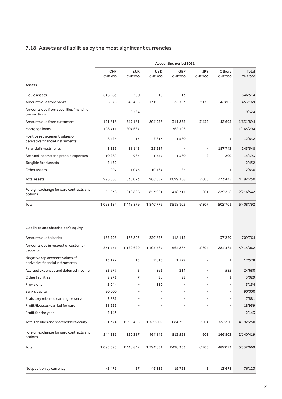## 7.18 Assets and liabilities by the most significant currencies

|                                                                    |                               |                               |                               | Accounting period 2021        |                               |                                  |                          |
|--------------------------------------------------------------------|-------------------------------|-------------------------------|-------------------------------|-------------------------------|-------------------------------|----------------------------------|--------------------------|
|                                                                    | <b>CHF</b><br><b>CHF '000</b> | <b>EUR</b><br><b>CHF '000</b> | <b>USD</b><br><b>CHF '000</b> | <b>GBP</b><br><b>CHF '000</b> | <b>JPY</b><br><b>CHF '000</b> | <b>Others</b><br><b>CHF '000</b> | Total<br><b>CHF '000</b> |
| Assets                                                             |                               |                               |                               |                               |                               |                                  |                          |
| Liquid assets                                                      | 646'283                       | 200                           | 18                            | 13                            |                               |                                  | 646'514                  |
| Amounts due from banks                                             | 6'076                         | 248'495                       | 131'258                       | 22'363                        | 2'172                         | 42'805                           | 453'169                  |
| Amounts due from securities financing<br>transactions              | $\bar{a}$                     | 9'324                         |                               |                               |                               | $\overline{\phantom{a}}$         | 9'324                    |
| Amounts due from customers                                         | 121'818                       | 347'181                       | 804'935                       | 311'833                       | 3'432                         | 42'695                           | 1'631'894                |
| Mortgage Ioans                                                     | 198'411                       | 204'687                       | $\qquad \qquad \blacksquare$  | 762'196                       |                               | $\overline{\phantom{0}}$         | 1'165'294                |
| Positive replacement values of<br>derivative financial instruments | 8'425                         | 13                            | 2'813                         | 1'580                         |                               | 1                                | 12'832                   |
| <b>Financial investments</b>                                       | 2'135                         | 18'143                        | 35'527                        |                               | $\overline{\phantom{a}}$      | 187'743                          | 243'548                  |
| Accrued income and prepaid expenses                                | 10'289                        | 985                           | 1'537                         | 1'380                         | 2                             | 200                              | 14'393                   |
| Tangible fixed assets                                              | 2'452                         |                               |                               |                               |                               |                                  | 2'452                    |
| Other assets                                                       | 997                           | 1'045                         | 10'764                        | 23                            | $\overline{\phantom{m}}$      | 1                                | 12'830                   |
| <b>Total assets</b>                                                | 996'886                       | 830'073                       | 986'852                       | 1'099'388                     | 5'606                         | 273'445                          | 4'192'250                |
| Foreign exchange forward contracts and<br>options                  | 95'238                        | 618'806                       | 853'924                       | 418'717                       | 601                           | 229'256                          | 2'216'542                |
| Total                                                              | 1'092'124                     | 1'448'879                     | 1'840'776                     | 1'518'105                     | 6'207                         | 502'701                          | 6'408'792                |
| Liabilities and shareholder's equity                               |                               |                               |                               |                               |                               |                                  |                          |
| Amounts due to banks                                               |                               |                               |                               |                               |                               |                                  | 709'764                  |
|                                                                    | 157'796                       | 175'803                       | 220'823                       | 118'113                       |                               | 37'229                           |                          |
| Amounts due in respect of customer<br>deposits                     | 231'731                       | 1'122'629                     | 1'105'767                     | 564'867                       | 5'604                         | 284'464                          | 3'315'062                |
| Negative replacement values of<br>derivative financial instruments | 13'172                        | 13                            | 2'813                         | 1'579                         |                               | $\mathbf{1}$                     | 17'578                   |
| Accrued expenses and deferred income                               | 23'677                        | 3                             | 261                           | 214                           |                               | 525                              | 24'680                   |
| Other liabilities                                                  | 2'971                         | 7                             | 28                            | 22                            |                               | $\mathbf{1}$                     | 3'029                    |
| Provisions                                                         | 3'044                         |                               | 110                           |                               |                               |                                  | 3'154                    |
| Bank's capital                                                     | 90'000                        |                               |                               |                               |                               |                                  | 90'000                   |
| Statutory retained earnings reserve                                | 7'881                         |                               |                               |                               |                               | -                                | 7'881                    |
| Profit/(Losses) carried forward                                    | 18'959                        |                               |                               |                               |                               |                                  | 18'959                   |
| Profit for the year                                                | 2'143                         |                               |                               |                               |                               |                                  | 2'143                    |
| Total liabilities and shareholder's equity                         | 551'374                       | 1'298'455                     | 1'329'802                     | 684'795                       | 5'604                         | 322'220                          | 4'192'250                |
| Foreign exchange forward contracts and<br>options                  | 544'221                       | 150'387                       | 464'849                       | 813'558                       | 601                           | 166'803                          | 2'140'419                |
| Total                                                              | 1'095'595                     | 1'448'842                     | 1'794'651                     | 1'498'353                     | 6'205                         | 489'023                          | 6'332'669                |
|                                                                    |                               |                               |                               |                               |                               |                                  |                          |
| Net position by currency                                           | $-3'471$                      | 37                            | 46'125                        | 19'752                        | $\overline{2}$                | 13'678                           | 76'123                   |
|                                                                    |                               |                               |                               |                               |                               |                                  |                          |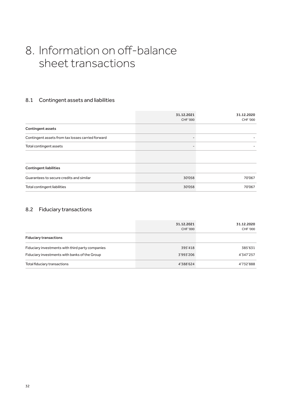## 8. Information on off-balance sheet transactions

## 8.1 Contingent assets and liabilities

|                                                   | 31.12.2021<br><b>CHF '000</b> | 31.12.2020<br><b>CHF '000</b> |
|---------------------------------------------------|-------------------------------|-------------------------------|
| <b>Contingent assets</b>                          |                               |                               |
| Contingent assets from tax losses carried forward |                               |                               |
| Total contingent assets                           |                               |                               |
|                                                   |                               |                               |
| <b>Contingent liabilities</b>                     |                               |                               |
| Guarantees to secure credits and similar          | 30'058                        | 70'067                        |
| Total contingent liabilities                      | 30'058                        | 70'067                        |

## 8.2 Fiduciary transactions

|                                                  | 31.12.2021<br><b>CHF '000</b> | 31.12.2020<br><b>CHF '000</b> |
|--------------------------------------------------|-------------------------------|-------------------------------|
| <b>Fiduciary transactions</b>                    |                               |                               |
| Fiduciary investments with third party companies | 395'418                       | 385'631                       |
| Fiduciary investments with banks of the Group    | 3'993'206                     | 4'347'257                     |
| Total fiduciary transactions                     | 4'388'624                     | 4'732'888                     |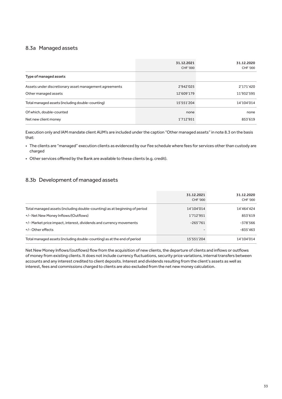## 8.3a Managed assets

|                                                                                | 31.12.2021<br><b>CHF '000</b> | 31.12.2020<br>CHF '000  |
|--------------------------------------------------------------------------------|-------------------------------|-------------------------|
| Type of managed assets                                                         |                               |                         |
| Assets under discretionary asset management agreements<br>Other managed assets | 2'942'025<br>12'609'179       | 2'171'420<br>11'932'595 |
| Total managed assets (including double-counting)                               | 15'551'204                    | 14'104'014              |
| Of which, double-counted<br>Net new client money                               | none<br>1'712'951             | none<br>853'619         |

Execution only and IAM mandate client AUM's are included under the caption "Other managed assets" in note 8.3 on the basis that:

- The clients are "managed" execution clients as evidenced by our Fee schedule where fees for services other than custody are charged
- Other services offered by the Bank are available to these clients (e.g. credit).

## 8.3b Development of managed assets

|                                                                            | 31.12.2021<br>CHF '000 | 31.12.2020<br><b>CHF '000</b> |
|----------------------------------------------------------------------------|------------------------|-------------------------------|
| Total managed assets (including double-counting) as at beginning of period | 14'104'014             | 14'464'424                    |
| +/- Net New Money Inflows/(Outflows)                                       | 1'712'951              | 853'619                       |
| +/- Market price impact, interest, dividends and currency movements        | $-265'761$             | $-378'566$                    |
| +/- Other effects                                                          |                        | $-835'463$                    |
| Total managed assets (including double-counting) as at the end of period   | 15'551'204             | 14'104'014                    |

Net New Money Inflows/(outflows) flow from the acquisition of new clients, the departure of clients and inflows or outflows of money from existing clients. It does not include currency fluctuations, security price variations, internal transfers between accounts and any interest credited to client deposits. Interest and dividends resulting from the client's assets as well as interest, fees and commissions charged to clients are also excluded from the net new money calculation.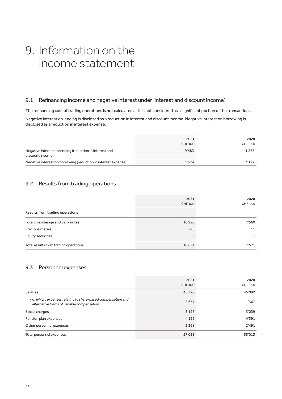## 9. Information on the income statement

## 9.1 Refinancing income and negative interest under 'Interest and discount income'

The refinancing cost of trading operations is not calculated as it is not considered as a significant portion of the transactions.

Negative interest on lending is disclosed as a reduction in interest and discount income. Negative interest on borrowing is disclosed as a reduction in interest expense.

|                                                                             | 2021<br><b>CHF '000</b> | 2020<br><b>CHF '000</b> |
|-----------------------------------------------------------------------------|-------------------------|-------------------------|
| Negative interest on lending (reduction in interest and<br>discount income) | 9'483                   | 1'255                   |
| Negative interest on borrowing (reduction in interest expense)              | 1'574                   | 3'177                   |

## 9.2 Results from trading operations

|                                       | 2021<br>CHF '000 | 2020<br>CHF '000 |
|---------------------------------------|------------------|------------------|
| Results from trading operations       |                  |                  |
| Foreign exchange and bank notes       | 10'920           | 7'560            |
| Precious metals                       | $-96$            | 11               |
| <b>Equity securities</b>              |                  |                  |
| Total results from trading operations | 10'824           | 7'571            |

## 9.3 Personnel expenses

|                                                                                                             | 2021<br><b>CHF '000</b> | 2020<br><b>CHF '000</b> |
|-------------------------------------------------------------------------------------------------------------|-------------------------|-------------------------|
| <b>Salaries</b>                                                                                             | 46'270                  | 45'092                  |
| • of which, expenses relating to share-based compensation and<br>alternative forms of variable compensation | 2'637                   | 1'367                   |
| Social charges                                                                                              | 3'196                   | 3'039                   |
| Pension plan expenses                                                                                       | 4'199                   | 4'391                   |
| Other personnel expenses                                                                                    | 3'368                   | 2'491                   |
| Total personnel expenses                                                                                    | 57'033                  | 55'013                  |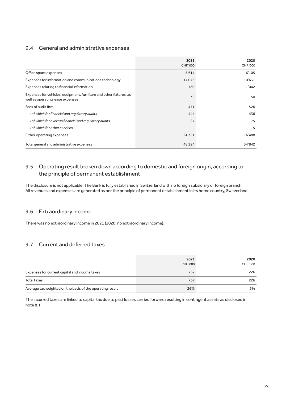## 9.4 General and administrative expenses

|                                                                                                        | 2021<br><b>CHF '000</b> | 2020<br><b>CHF '000</b> |
|--------------------------------------------------------------------------------------------------------|-------------------------|-------------------------|
| Office space expenses                                                                                  | 5'614                   | 6'105                   |
| Expenses for information and communications technology                                                 | 17'076                  | 10'631                  |
| Expenses relating to financial information                                                             | 780                     | 1'042                   |
| Expenses for vehicles, equipment, furniture and other fixtures, as<br>well as operating lease expenses | 32                      | 50                      |
| Fees of audit firm                                                                                     | 471                     | 526                     |
| • of which for financial and regulatory audits                                                         | 444                     | 436                     |
| • of which for overrun financial and regulatory audits                                                 | 27                      | 75                      |
| • of which for other services                                                                          |                         | 15                      |
| Other operating expenses                                                                               | 24'321                  | 16'488                  |
| Total general and administrative expenses                                                              | 48'294                  | 34'842                  |

## 9.5 Operating result broken down according to domestic and foreign origin, according to the principle of permanent establishment

The disclosure is not applicable. The Bank is fully established in Switzerland with no foreign subsidiary or foreign branch. All revenues and expenses are generated as per the principle of permanent establishment in its home country, Switzerland.

## 9.6 Extraordinary income

There was no extraordinary income in 2021 (2020: no extraordinary income).

## 9.7 Current and deferred taxes

|                                                           | 2021<br>CHF '000 | 2020<br><b>CHF '000</b> |
|-----------------------------------------------------------|------------------|-------------------------|
| Expenses for current capital and income taxes             | 767              | 226                     |
| <b>Total taxes</b>                                        | 767              | 226                     |
| Average tax weighted on the basis of the operating result | 26%              | 5%                      |

The incurred taxes are linked to capital tax due to past losses carried forward resulting in contingent assets as disclosed in note 8.1.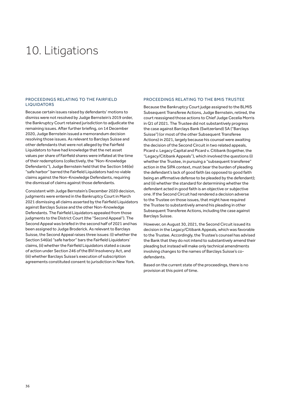## 10. Litigations

## PROCEEDINGS RELATING TO THE FAIRFIELD **LIQUIDATORS**

Because certain issues raised by defendants' motions to dismiss were not resolved by Judge Bernstein's 2019 order, the Bankruptcy Court retained jurisdiction to adjudicate the remaining issues. After further briefing, on 14 December 2020, Judge Bernstein issued a memorandum decision resolving those issues. As relevant to Barclays Suisse and other defendants that were not alleged by the Fairfield Liquidators to have had knowledge that the net asset values per share of Fairfield shares were inflated at the time of their redemptions (collectively, the "Non-Knowledge Defendants"), Judge Bernstein held that the Section 546(e) "safe harbor" barred the Fairfield Liquidators had no viable claims against the Non-Knowledge Defendants, requiring the dismissal of claims against those defendants.

Consistent with Judge Bernstein's December 2020 decision, judgments were entered in the Bankruptcy Court in March 2021 dismissing all claims asserted by the Fairfield Liquidators against Barclays Suisse and the other Non-Knowledge Defendants. The Fairfield Liquidators appealed from those judgments to the District Court (the "Second Appeal"). The Second Appeal was briefed in the second half of 2021 and has been assigned to Judge Broderick. As relevant to Barclays Suisse, the Second Appeal raises three issues: (i) whether the Section 546(e) "safe harbor" bars the Fairfield Liquidators' claims, (ii) whether the Fairfield Liquidators stated a cause of action under Section 246 of the BVI Insolvency Act, and (iii) whether Barclays Suisse's execution of subscription agreements constituted consent to jurisdiction in New York.

#### PROCEEDINGS RELATING TO THE BMIS TRUSTEE

Because the Bankruptcy Court judge assigned to the BLMIS Subsequent Transferee Actions, Judge Bernstein, retired, the court reassigned those actions to Chief Judge Cecelia Morris in Q1 of 2021. The Trustee did not substantively progress the case against Barclays Bank (Switzerland) SA ("Barclays Suisse") (or most of the other Subsequent Transferee Actions) in 2021, largely because his counsel were awaiting the decision of the Second Circuit in two related appeals, Picard v. Legacy Capital and Picard v. Citibank (together, the "Legacy/Citibank Appeals"), which involved the questions (i) whether the Trustee, in pursuing a "subsequent transferee" action in the SIPA context, must bearthe burden of pleading the defendant's lack of good faith (as opposed to good faith being an affirmative defense to be pleaded by the defendant); and (ii) whether the standard for determining whether the defendant acted in good faith is an objective or subjective one. If the Second Circuit had rendered a decision adverse to the Trustee on those issues, that might have required the Trustee to substantively amend his pleading in other Subsequent Transferee Actions, including the case against Barclays Suisse.

However, on August 30, 2021, the Second Circuit issued its decision in the Legacy/Citibank Appeals, which was favorable to the Trustee. Accordingly, the Trustee's counsel has advised the Bank that they do not intend to substantively amend their pleading but instead will make only technical amendments involving changes to the names of Barclays Suisse's codefendants.

Based on the current state of the proceedings, there is no provision at this point of time.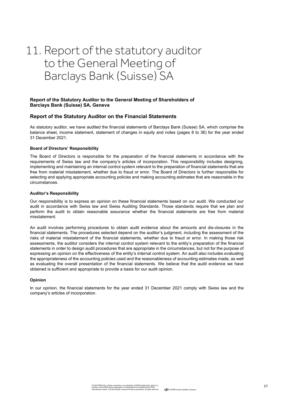## 11. Report of the statutory auditor to the General Meeting of Barclays Bank (Suisse) SA  $C \cap \Gamma$

## **Report of the Statutory Auditor to the General Meeting of Shareholders of Barclays Bank (Suisse) SA, Geneva**

## **Report of the Statutory Auditor on the Financial Statements**

As statutory auditor, we have audited the financial statements of Barclays Bank (Suisse) SA, which comprise the balance sheet, income statement, statement of changes in equity and notes (pages 8 to 36) for the year ended 31 December 2021.

### **Board of Directors' Responsibility**

selecting and applying appropriate accounting policies and making accounting estimates that are reasonable in the<br>. The Board of Directors is responsible for the preparation of the financial statements in accordance with the requirements of Swiss law and the company's articles of incorporation. This responsibility includes designing, implementing and maintaining an internal control system relevant to the preparation of financial statements that are free from material misstatement, whether due to fraud or error. The Board of Directors is further responsible for circumstances.

### **Auditor's Responsibility**

Our responsibility is to express an opinion on these financial statements based on our audit. We conducted our audit in accordance with Swiss law and Swiss Auditing Standards. Those standards require that we plan and perform the audit to obtain reasonable assurance whether the financial statements are free from material misstatement.

**Barclays Bank (Suisse) SA, Geneva**  An audit involves performing procedures to obtain audit evidence about the amounts and dis-closures in the financial statements. The procedures selected depend on the auditor's judgment, including the assessment of the risks of material misstatement of the financial statements, whether due to fraud or error. In making those risk assessments, the auditor considers the internal control system relevant to the entity's preparation of the financial **Board of Directors' Responsibility**  statements in order to design audit procedures that are appropriate in the circumstances, but not for the purpose of expressing an opinion on the effectiveness of the entity's internal control system. An audit also includes evaluating the appropriateness of the accounting policies used and the reasonableness of accounting estimates made, as well as evaluating the overall presentation of the financial statements. We believe that the audit evidence we have obtained is sufficient and appropriate to provide a basis for our audit opinion.

### **Opinion**

In our opinion, the financial statements for the year ended 31 December 2021 comply with Swiss law and the company's articles of incorporation.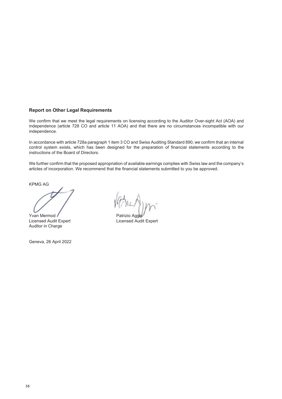## **Report on Other Legal Requirements**

We confirm that we meet the legal requirements on licensing according to the Auditor Over-sight Act (AOA) and independence (article 728 CO and article 11 AOA) and that there are no circumstances incompatible with our independence.

In accordance with article 728a paragraph 1 item 3 CO and Swiss Auditing Standard 890, we confirm that an internal control system exists, which has been designed for the preparation of financial statements according to the instructions of the Board of Directors.

We further confirm that the proposed appropriation of available earnings complies with Swiss law and the company's articles of incorporation. We recommend that the financial statements submitted to you be approved.

KPMG AG

Yvan Mermod **Patrizio Aggior Aggior Aggior Aggior Aggior Patrizio Aggior Aggior Aggior Aggior Aggior Aggior Aggior Aggior Aggior Aggior Aggior Aggior Aggior Aggior Aggior Aggior Aggior Aggior Aggior Aggior Aggior Aggior Ag** Auditor in Charge

Geneva, 26 April 2022

Licensed Audit Expert Licensed Audit Expert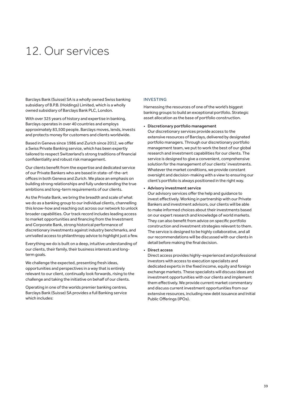## 12. Our services

Barclays Bank (Suisse) SA is a wholly owned Swiss banking subsidiary of B.P.B. (Holdings) Limited, which is a wholly owned subsidiary of Barclays Bank PLC, London.

With over 325 years of history and expertise in banking, Barclays operates in over 40 countries and employs approximately 83,500 people. Barclays moves, lends, invests and protects money for customers and clients worldwide.

Based in Geneva since 1986 and Zurich since 2012, we offer a Swiss Private Banking service, which has been expertly tailored to respect Switzerland's strong traditions of financial confidentiality and robust risk management.

Our clients benefit from the expertise and dedicated service of our Private Bankers who are based in state-of-the-art offices in both Geneva and Zurich. We place an emphasis on building strong relationships and fully understanding the true ambitions and long-term requirements of our clients.

As the Private Bank, we bring the breadth and scale of what we do as a banking group to our individual clients, channelling this know-how and reaching out across our network to unlock broader capabilities. Our track record includes leading access to market opportunities and financing from the Investment and Corporate Bank, strong historical performance of discretionary investments against industry benchmarks, and unrivalled access to philanthropy advice to highlight just a few.

Everything we do is built on a deep, intuitive understanding of our clients, their family, their business interests and longterm goals.

We challenge the expected, presenting fresh ideas, opportunities and perspectives in a way that is entirely relevant to our client, continually look forwards, rising to the challenge and taking the initiative on behalf of our clients.

Operating in one of the worlds premier banking centres, Barclays Bank (Suisse) SA provides a full Banking service which includes:

## INVESTING

Harnessing the resources of one of the world's biggest banking groups to build an exceptional portfolio. Strategic asset allocation as the base of portfolio construction.

• Discretionary portfolio management

Our discretionary services provide access to the extensive resources of Barclays, delivered by designated portfolio managers. Through our discretionary portfolio management team, we put to work the best of our global research and investment capabilities for our clients. The service is designed to give a convenient, comprehensive solution for the management of our clients' investments. Whatever the market conditions, we provide constant oversight and decision-making with a view to ensuring our client's portfolio is always positioned in the right way.

#### • Advisory investment service

Our advisory services offer the help and guidance to invest effectively. Working in partnership with our Private Bankers and investment advisors, our clients will be able to make informed choices about their investments based on our expert research and knowledge of world markets. They can also benefit from advice on specific portfolio construction and investment strategies relevant to them. The service is designed to be highly collaborative, and all our recommendations will be discussed with our clients in detail before making the final decision.

#### • Direct access

Direct access provides highly-experienced and professional investors with access to execution specialists and dedicated experts in the fixed income, equity and foreign exchange markets. These specialists will discuss ideas and investment opportunities with our clients and implement them effectively. We provide current market commentary and discuss current investment opportunities from our extensive resources, including new debt issuance and Initial Public Offerings (IPOs).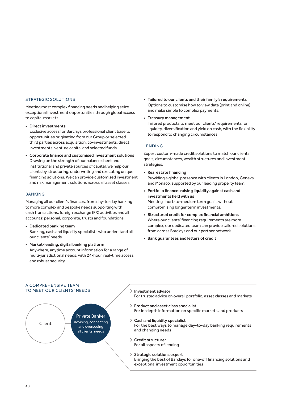#### STRATEGIC SOLUTIONS

Meeting most complex financing needs and helping seize exceptional investment opportunities through global access to capital markets.

• Direct investments

Exclusive access for Barclays professional client base to opportunities originating from our Group or selected third parties across acquisition, co-investments, direct investments, venture capital and selected funds.

• Corporate finance and customised investment solutions Drawing on the strength of our balance sheet and institutional and private sources of capital, we help our clients by structuring, underwriting and executing unique financing solutions. We can provide customised investment and risk management solutions across all asset classes.

## BANKING

Managing all our client's finances, from day-to-day banking to more complex and bespoke needs supporting with cash transactions, foreign exchange (FX) activities and all accounts: personal, corporate, trusts and foundations.

- Dedicated banking team Banking, cash and liquidity specialists who understand all our clients' needs.
- Market-leading, digital banking platform Anywhere, anytime account information for a range of multi-jurisdictional needs, with 24-hour, real-time access and robust security.
- Tailored to our clients and their family's requirements Options to customise how to view data (print and online), and make simple to complex payments.
- Treasury management Tailored products to meet our clients' requirements for liquidity, diversification and yield on cash, with the flexibility to respond to changing circumstances.

#### LENDING

Expert custom-made credit solutions to match our clients' goals, circumstances, wealth structures and investment strategies.

- Real estate financing Providing a global presence with clients in London, Geneva and Monaco, supported by our leading property team.
- Portfolio finance: raising liquidity against cash and investments held with us Meeting short-to-medium term goals, without compromising longer term investments.
- Structured credit for complex financial ambitions Where our clients' financing requirements are more complex, our dedicated team can provide tailored solutions from across Barclays and our partner network.
- Bank guarantees and letters of credit

## A COMPREHENSIVE TEAM TO MEET OUR CLIENTS' NEEDS



### $\geq$  Investment advisor

For trusted advice on overall portfolio, asset classes and markets

- $\triangleright$  Product and asset class specialist For in-depth information on specific markets and products
- $\geq$  Cash and liquidity specialist For the best ways to manage day-to-day banking requirements and changing needs
- Credit structurer For all aspects of lending
- $\geq$  Strategic solutions expert Bringing the best of Barclays for one-off financing solutions and exceptional investment opportunities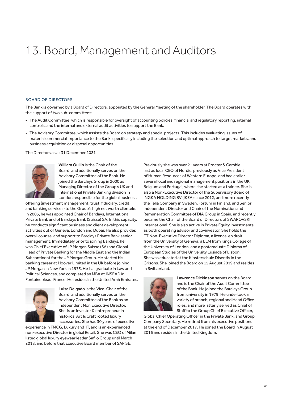## 13. Board, Management and Auditors

## BOARD OF DIRECTORS

The Bank is governed by a Board of Directors, appointed by the General Meeting of the shareholder. The Board operates with the support of two sub-committees:

- The Audit Committee, which is responsible for oversight of accounting policies, financial and regulatory reporting, internal controls, and the internal and external audit activities to support the Bank.
- The Advisory Committee, which assists the Board on strategy and special projects. This includes evaluating issues of material commercial importance to the Bank, specifically including the selection and optimal approach to target markets, and business acquisition or disposal opportunities.

The Directors as at 31 December 2021



William Oullin is the Chair of the Board, and additionally serves on the Advisory Committee of the Bank. He joined the Barclays Group in 2000 as Managing Director of the Group's UK and International Private Banking division in London responsible for the global business

offering (investment management, trust, fiduciary, credit and banking services) to the Group's high net worth clientele. In 2003, he was appointed Chair of Barclays, International Private Bank and of Barclays Bank (Suisse) SA. In this capacity, he conducts significant business and client development activities out of Geneva, London and Dubai. He also provides overall counsel and support to Barclays Private Bank senior management. Immediately prior to joining Barclays, he was Chief Executive of JP Morgan Suisse (SA) and Global Head of Private Banking for the Middle East and the Indian Subcontinent for the JP Morgan Group. He started his banking career at Hoover Limited in the UK before joining JP Morgan in New York in 1975. He is a graduate in Law and Political Sciences, and completed an MBA at INSEAD in Fontainebleau, France. He resides in the United Arab Emirates.



Luisa Delgado is the Vice-Chair of the Board, and additionally serves on the Advisory Committee of the Bank as an Independent Non Executive Director. She is an investor & entrepreneur in historical Art & Craft rooted luxury accessories. She has 30 years of executive

experience in FMCG, Luxury and IT, and is an experienced non-executive Director in global Retail. She was CEO of Milan listed global luxury eyewear leader Safilo Group until March 2018, and before that Executive Board member of SAP SE.

Previously she was over 21 years at Procter & Gamble, last as local CEO of Nordic, previously as Vice President of Human Resources of Western Europe, and had earlier several local and regional management positions in the UK, Belgium and Portugal, where she started as a trainee. She is also a Non-Executive Director of the Supervisory Board of INGKA HOLDING BV (IKEA) since 2012, and more recently the Telia Company in Sweden, Fortum in Finland, and Senior Independent Director and Chair of the Nomination and Remuneration Committee of DIA Group in Spain, and recently became the Chair of the Board of Directors of SWAROVSKI International. She is also active in Private Equity investments as both operating advisor and co-investor. She holds the FT Non-Executive Director Diploma, a licence en droit from the University of Geneva, a LLM from Kings College of the University of London, and a postgraduate Diploma of European Studies of the University Lusiada of Lisbon. She was educated at the Klosterschule Disentis in the Grisons. She joined the Board on 15 August 2019 and resides in Switzerland.



Lawrence Dickinson serves on the Board and is the Chair of the Audit Committee of the Bank. He joined the Barclays Group from university in 1979. He undertook a variety of branch, regional and Head Office roles, and more latterly served as Chief of Staff to the Group Chief Executive Officer,

Global Chief Operating Officer in the Private Bank, and Group Company Secretary. He retired from his executive positions at the end of December 2017. He joined the Board in August 2016 and resides in the United Kingdom.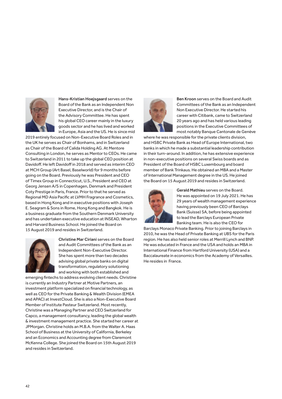

Hans-Kristian Hoejsgaard serves on the Board of the Bank as an Independent Non Executive Director, and is the Chair of the Advisory Committee. He has spent his global CEO career mainly in the luxury goods sector and he has lived and worked in Europe, Asia and the US. He is since mid

2019 entirely focused on Non-Executive Board Roles and in the UK he serves as Chair of Bonhams, and in Switzerland as Chair of the Board of Calida Holding AG. At Mentore Consulting in London, he serves as Mentor to CEOs. He came to Switzerland in 2011 to take up the global CEO position at Davidoff. He left Davidoff in 2018 and served as interim CEO at MCH Group (Art Basel, Baselworld) for 9 months before going on the Board. Previously he was President and CEO of Timex Group in Connecticut, U.S., President and CEO at Georg Jensen A/S in Copenhagen, Denmark and President Coty Prestige in Paris, France. Prior to that he served as Regional MD Asia Pacific at LVMH Fragrance and Cosmetics, based in Hong Kong and in executive positions with Joseph E. Seagram & Sons in Rome, Hong Kong and Bangkok. He is a business graduate from the Southern Denmark University and has undertaken executive education at INSEAD, Wharton and Harvard Business School. He joined the Board on 15 August 2019 and resides in Switzerland.



Christine Mar Ciriani serves on the Board and Audit Committees of the Bank as an Independent Non-Executive Director. She has spent more than two decades advising global private banks on digital transformation, regulatory solutioning and working with both established and

emerging fintechs to address evolving client needs. Christine is currently an Industry Partner at Motive Partners, an investment platform specialized on financial technology, as well as CEO for the Private Banking & Wealth Division (EMEA and APAC) at InvestCloud. She is also a Non-Executive Board Member of Institute Pasteur Switzerland. Most recently, Christine was a Managing Partner and CEO Switzerland for Capco, a management consultancy, leading the global wealth & investment management practice. She started her career at JPMorgan. Christine holds an M.B.A. from the Walter A. Haas School of Business at the University of California, Berkeley and an Economics and Accounting degree from Claremont McKenna College. She joined the Board on 15th August 2019 and resides in Switzerland.



Ben Kroon serves on the Board and Audit Committees of the Bank as an Independent Non Executive Director. He started his career with Citibank, came to Switzerland 20 years ago and has held various leading positions in the Executive Committees of most notably Banque Cantonale de Genève

where he was responsible for the private clients division, and HSBC Private Bank as Head of Europe International, two banks in which he made a substantial leadership contribution in their turn-around. In addition, he has extensive experience in non-executive positions on several Swiss boards and as President of the Board of HSBC Luxembourg and board member of Bank Trinkaus. He obtained an MBA and a Master of International Management degree in the US. He joined the Board on 15 August 2019 and resides in Switzerland.



Gerald Mathieu serves on the Board. He was appointed on 19 July 2021. He has 29 years of wealth management experience having previously been CEO of Barclays Bank (Suisse) SA, before being appointed to lead the Barclays European Private Banking team. He is also the CEO for

Barclays Monaco Private Banking. Prior to joining Barclays in 2010, he was the Head of Private Banking at UBS for the Paris region. He has also held senior roles at Merrill Lynch and BNP. He was educated in France and the USA and holds an MBA in International Finance from Hartford University (USA) and a Baccalaureate in economics from the Academy of Versailles. He resides in France.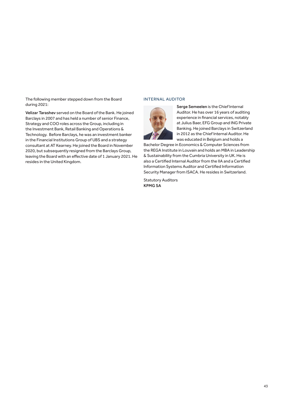The following member stepped down from the Board during 2021:

Velizar Tarashev served on the Board of the Bank. He joined Barclays in 2007 and has held a number of senior Finance, Strategy and COO roles across the Group, including in the Investment Bank, Retail Banking and Operations & Technology. Before Barclays, he was an investment banker in the Financial Institutions Group of UBS and a strategy consultant at AT Kearney. He joined the Board in November 2020, but subsequently resigned from the Barclays Group, leaving the Board with an effective date of 1 January 2021. He resides in the United Kingdom.

## INTERNAL AUDITOR



Serge Semeelen is the Chief Internal Auditor. He has over 16 years of auditing experience in financial services, notably at Julius Baer, EFG Group and ING Private Banking. He joined Barclays in Switzerland in 2012 as the Chief Internal Auditor. He was educated in Belgium and holds a

Bachelor Degree in Economics & Computer Sciences from the REGA Institute in Louvain and holds an MBA in Leadership & Sustainability from the Cumbria University in UK. He is also a Certified Internal Auditor from the IIA and a Certified Information Systems Auditor and Certified Information Security Manager from ISACA. He resides in Switzerland.

Statutory Auditors KPMG SA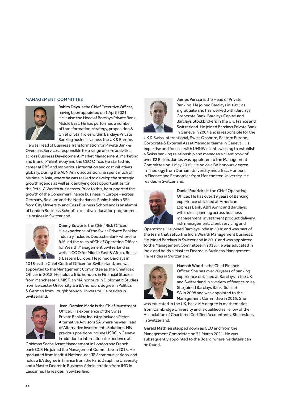#### MANAGEMENT COMMITTEE



Rahim Daya is the Chief Executive Officer, having been appointed on 1 April 2021. He is also the Head of Barclays Private Bank, Middle East. He has performed a number of transformation, strategy, proposition & Chief of Staff roles within Barclays Private Banking business across the UK & Europe.

He was Head of Business Transformation for Private Bank & Overseas Services, responsible for a range of core activities across Business Development, Market Management, Marketing and Brand, Philanthropy and the CEO Office. He started his career at RBS and ran various integration and cost initiatives globally. During the ABN Amro acquisition, he spent much of his time in Asia, where he was tasked to develop the strategic growth agenda as well as identifying cost opportunities for the Retail & Wealth businesses. Prior to this, he supported the growth of the Consumer Finance business in Europe – across Germany, Belgium and the Netherlands. Rahim holds a BSc from City University and Cass Business School and is an alumni of London Business School's executive education programme. He resides in Switzerland.



Danny Bower is the Chief Risk Officer. His experience of the Swiss Private Banking industry includes Deutsche Bank where he fulfilled the roles of Chief Operating Officer for Wealth Management Switzerland as well as COO for Middle East & Africa, Russia & Eastern Europe. He joined Barclays in

2016 as the Chief Control Officer for Switzerland, and was appointed to the Management Committee as the Chief Risk Officer in 2018. He holds a BSc honours in Financial Studies from Manchester UMIST, an MA honours in Diplomatic Studies from Leicester University & a BA honours degree in Politics & German from Loughborough University. He resides in Switzerland.



Jean-Damien Marie is the Chief Investment Officer. His experience of the Swiss Private Banking industry includes Pictet Alternative Advisors SA where he was Head of Alternative Investments Solutions. His previous positions include HSBC in Geneva in addition to international experience at

Goldman Sachs Asset Management in London and French bank CCF. He joined the Management Committee in 2018. He graduated from Institut National des Télécommunications, and holds a BA degree in finance from the Paris Dauphine University and a Master Degree in Business Administration from IMD in Lausanne. He resides in Switzerland.



James Persse is the Head of Private Banking. He joined Barclays in 1995 as a graduate and has worked with Barclays Corporate Bank, Barclays Capital and Barclays Stockbrokers in the UK, France and Switzerland. He joined Barclays Private Bank in Geneva in 2004 and is responsible for the

UK & Swiss International, Swiss Onshore, Eastern Europe, Corporate & External Asset Manager teams in Geneva. His expertise and focus is with UHNW clients wishing to establish a Swiss banking relationship and manages a client book of over £2 Billion. James was appointed to the Management Committee on 1 May 2019. He holds a BA honours degree in Theology from Durham University and a Bsc. Honours in Finance and Economics from Manchester University. He resides in Switzerland.



Daniel Rodricks is the Chief Operating Officer. He has over 19 years of Banking experience obtained at American Express Bank, ABN Amro and Barclays, with roles spanning across business management, investment product delivery, risk management, client servicing and

Operations. He joined Barclays India in 2008 and was part of the team that setup the India Wealth Management business. He joined Barclays in Switzerland in 2010 and was appointed to the Management Committee in 2018. He was educated in India and holds a Masters Degree in Business Management. He resides in Switzerland.



Hannah Wood is the Chief Finance Officer. She has over 20 years of banking experience obtained at Barclays in the UK and Switzerland in a variety of finance roles. She joined Barclays Bank (Suisse) SA in 2008 and was appointed to the Management Committee in 2015. She

was educated in the UK, has a MA degree in mathematics from Cambridge University and is qualified as Fellow of the Association of Chartered Certified Accountants. She resides in Switzerland.

Gerald Mathieu stepped down as CEO and from the Management Committee on 31 March 2021. He was subsequently appointed to the Board, where his details can be found.